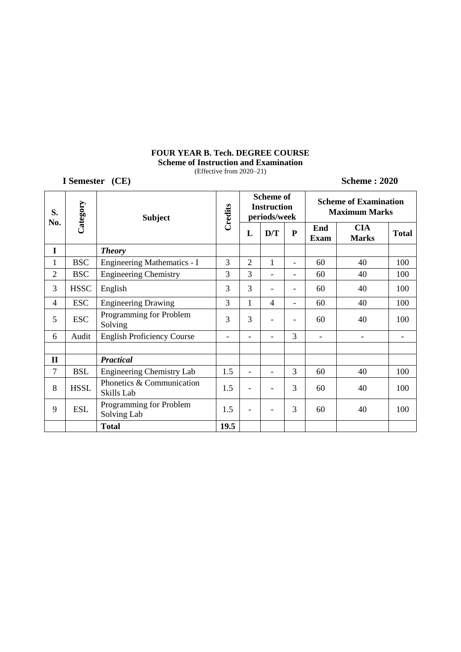### **FOUR YEAR B. Tech. DEGREE COURSE Scheme of Instruction and Examination**

(Effective from 2020–21)

**I Semester (CE) Scheme : 2020 S. No. Category Subject Credits Scheme of Instruction periods/week Scheme of Examination Maximum Marks**  $L$  **D/T P End Exam CIA Marks Total I** *Theory* 1 BSC Engineering Mathematics - I 3 2 1 - 60 40 100 2 BSC Engineering Chemistry 3 3 3 - 60 40 100 3 HSSC English 3 3 - - 60 40 100 4 ESC Engineering Drawing 1 3 1 4 - 60 40 100  $5 \begin{array}{|c|c|} \hline \text{ESC} & \text{Programming for Problem} \\ \hline \text{Solving} \end{array}$ Solving  $\begin{bmatrix} 3 & 3 & - & - & 60 \\ 0 & 0 & 40 & 100 \\ 0 & 0 & 0 & 40 \end{bmatrix}$ 6 | Audit | English Proficiency Course  $\begin{vmatrix} - & - & 3 & - & \cdots & - \\ 0 & - & 3 & - & \cdots & - \\ 0 & 0 & 0 & 3 & - & \cdots & - \\ 0 & 0 & 0 & 3 & 3 & - \\ 0 & 0 & 0 & 0 & 3 & 3 \end{vmatrix}$ **II** *Practical* 7 | BSL | Engineering Chemistry Lab | 1.5 | - | - | 3 | 60 | 40 | 100 8 | HSSL | Phonetics & Communication Skills Lab  $\begin{bmatrix} 1.5 & - & - & 3 & 60 \\ - & - & 3 & 60 \end{bmatrix}$  40 100 9 ESL Solving Lab Solving Lab  $\begin{vmatrix} 1.5 \\ -1.5 \end{vmatrix}$  -  $\begin{vmatrix} 3 \\ 3 \end{vmatrix}$  60 40 100 **Total 19.5**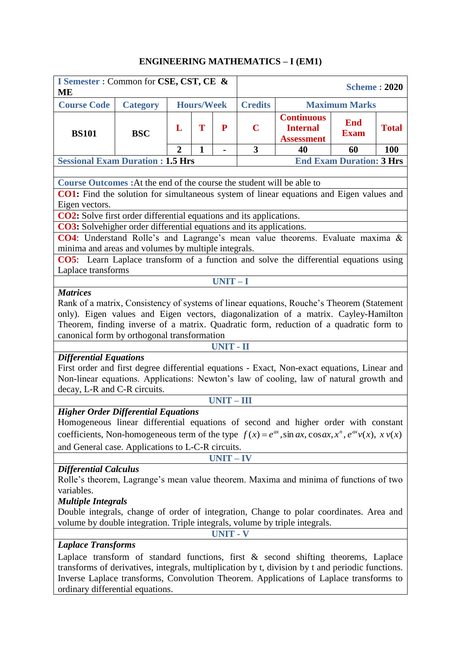# **ENGINEERING MATHEMATICS – I (EM1)**

| I Semester : Common for CSE, CST, CE &<br>MЕ                                                                                                                                                                                                                                                                                               |                 |   |                   |                  |                                        |                                                           | <b>Scheme: 2020</b>       |              |  |  |  |  |
|--------------------------------------------------------------------------------------------------------------------------------------------------------------------------------------------------------------------------------------------------------------------------------------------------------------------------------------------|-----------------|---|-------------------|------------------|----------------------------------------|-----------------------------------------------------------|---------------------------|--------------|--|--|--|--|
| <b>Course Code</b>                                                                                                                                                                                                                                                                                                                         | <b>Category</b> |   | <b>Hours/Week</b> |                  | <b>Credits</b><br><b>Maximum Marks</b> |                                                           |                           |              |  |  |  |  |
| <b>BS101</b>                                                                                                                                                                                                                                                                                                                               | <b>BSC</b>      | L | T                 | P                | $\mathbf C$                            | <b>Continuous</b><br><b>Internal</b><br><b>Assessment</b> | <b>End</b><br><b>Exam</b> | <b>Total</b> |  |  |  |  |
|                                                                                                                                                                                                                                                                                                                                            |                 | 2 | $\mathbf{1}$      | $\blacksquare$   | 3<br>40<br>60<br><b>100</b>            |                                                           |                           |              |  |  |  |  |
| <b>End Exam Duration: 3 Hrs</b><br><b>Sessional Exam Duration: 1.5 Hrs</b>                                                                                                                                                                                                                                                                 |                 |   |                   |                  |                                        |                                                           |                           |              |  |  |  |  |
|                                                                                                                                                                                                                                                                                                                                            |                 |   |                   |                  |                                        |                                                           |                           |              |  |  |  |  |
| Course Outcomes : At the end of the course the student will be able to                                                                                                                                                                                                                                                                     |                 |   |                   |                  |                                        |                                                           |                           |              |  |  |  |  |
| CO1: Find the solution for simultaneous system of linear equations and Eigen values and                                                                                                                                                                                                                                                    |                 |   |                   |                  |                                        |                                                           |                           |              |  |  |  |  |
| Eigen vectors.                                                                                                                                                                                                                                                                                                                             |                 |   |                   |                  |                                        |                                                           |                           |              |  |  |  |  |
| <b>CO2:</b> Solve first order differential equations and its applications.                                                                                                                                                                                                                                                                 |                 |   |                   |                  |                                        |                                                           |                           |              |  |  |  |  |
| <b>CO3:</b> Solvehigher order differential equations and its applications.                                                                                                                                                                                                                                                                 |                 |   |                   |                  |                                        |                                                           |                           |              |  |  |  |  |
| CO4: Understand Rolle's and Lagrange's mean value theorems. Evaluate maxima &                                                                                                                                                                                                                                                              |                 |   |                   |                  |                                        |                                                           |                           |              |  |  |  |  |
| minima and areas and volumes by multiple integrals.                                                                                                                                                                                                                                                                                        |                 |   |                   |                  |                                        |                                                           |                           |              |  |  |  |  |
| CO5: Learn Laplace transform of a function and solve the differential equations using                                                                                                                                                                                                                                                      |                 |   |                   |                  |                                        |                                                           |                           |              |  |  |  |  |
| Laplace transforms                                                                                                                                                                                                                                                                                                                         |                 |   |                   |                  |                                        |                                                           |                           |              |  |  |  |  |
| $UNIT-I$<br><b>Matrices</b>                                                                                                                                                                                                                                                                                                                |                 |   |                   |                  |                                        |                                                           |                           |              |  |  |  |  |
| Rank of a matrix, Consistency of systems of linear equations, Rouche's Theorem (Statement<br>only). Eigen values and Eigen vectors, diagonalization of a matrix. Cayley-Hamilton<br>Theorem, finding inverse of a matrix. Quadratic form, reduction of a quadratic form to<br>canonical form by orthogonal transformation                  |                 |   |                   |                  |                                        |                                                           |                           |              |  |  |  |  |
|                                                                                                                                                                                                                                                                                                                                            |                 |   |                   | <b>UNIT - II</b> |                                        |                                                           |                           |              |  |  |  |  |
| <b>Differential Equations</b><br>First order and first degree differential equations - Exact, Non-exact equations, Linear and<br>Non-linear equations. Applications: Newton's law of cooling, law of natural growth and<br>decay, L-R and C-R circuits.                                                                                    |                 |   |                   |                  |                                        |                                                           |                           |              |  |  |  |  |
|                                                                                                                                                                                                                                                                                                                                            |                 |   |                   | $UNIT - III$     |                                        |                                                           |                           |              |  |  |  |  |
| <b>Higher Order Differential Equations</b><br>Homogeneous linear differential equations of second and higher order with constant                                                                                                                                                                                                           |                 |   |                   |                  |                                        |                                                           |                           |              |  |  |  |  |
| coefficients, Non-homogeneous term of the type $f(x) = e^{ax}$ , sin ax, cosax, $x^n$ , $e^{ax}v(x)$ , $x v(x)$                                                                                                                                                                                                                            |                 |   |                   |                  |                                        |                                                           |                           |              |  |  |  |  |
| and General case. Applications to L-C-R circuits.                                                                                                                                                                                                                                                                                          |                 |   |                   |                  |                                        |                                                           |                           |              |  |  |  |  |
|                                                                                                                                                                                                                                                                                                                                            |                 |   |                   | $UNIT - IV$      |                                        |                                                           |                           |              |  |  |  |  |
| <b>Differential Calculus</b><br>Rolle's theorem, Lagrange's mean value theorem. Maxima and minima of functions of two<br>variables.<br><b>Multiple Integrals</b><br>Double integrals, change of order of integration, Change to polar coordinates. Area and<br>volume by double integration. Triple integrals, volume by triple integrals. |                 |   |                   |                  |                                        |                                                           |                           |              |  |  |  |  |
|                                                                                                                                                                                                                                                                                                                                            |                 |   |                   | <b>UNIT - V</b>  |                                        |                                                           |                           |              |  |  |  |  |
| <b>Laplace Transforms</b><br>Laplace transform of standard functions, first & second shifting theorems, Laplace                                                                                                                                                                                                                            |                 |   |                   |                  |                                        |                                                           |                           |              |  |  |  |  |
| transforms of derivatives, integrals, multiplication by t, division by t and periodic functions.<br>Inverse Laplace transforms, Convolution Theorem. Applications of Laplace transforms to                                                                                                                                                 |                 |   |                   |                  |                                        |                                                           |                           |              |  |  |  |  |

ordinary differential equations.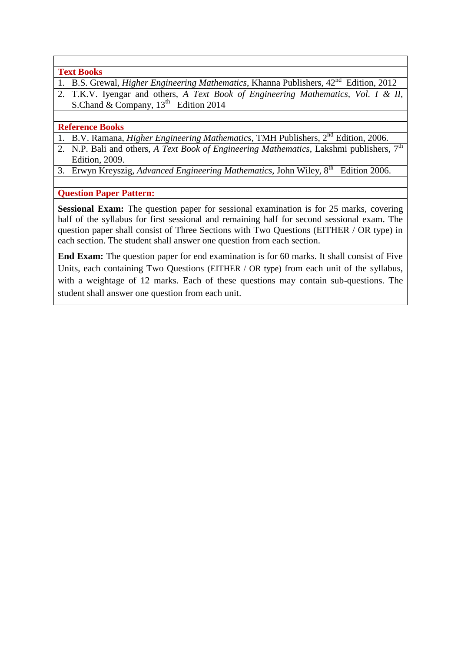**Text Books**

- 1. B.S. Grewal, *Higher Engineering Mathematics*, Khanna Publishers, 42<sup>nd</sup> Edition, 2012
- 2. T.K.V. Iyengar and others, *A Text Book of Engineering Mathematics, Vol. I & II*, S.Chand & Company,  $13<sup>th</sup>$  Edition 2014

#### **Reference Books**

- 1. B.V. Ramana, *Higher Engineering Mathematics*, TMH Publishers, 2nd Edition, 2006.
- 2. N.P. Bali and others, *A Text Book of Engineering Mathematics*, Lakshmi publishers, 7<sup>th</sup> Edition, 2009.
- 3. Erwyn Kreyszig, Advanced Engineering Mathematics, John Wiley, 8<sup>th</sup> Edition 2006.

**Question Paper Pattern:**

Sessional Exam: The question paper for sessional examination is for 25 marks, covering half of the syllabus for first sessional and remaining half for second sessional exam. The question paper shall consist of Three Sections with Two Questions (EITHER / OR type) in each section. The student shall answer one question from each section.

**End Exam:** The question paper for end examination is for 60 marks. It shall consist of Five Units, each containing Two Questions (EITHER / OR type) from each unit of the syllabus, with a weightage of 12 marks. Each of these questions may contain sub-questions. The student shall answer one question from each unit.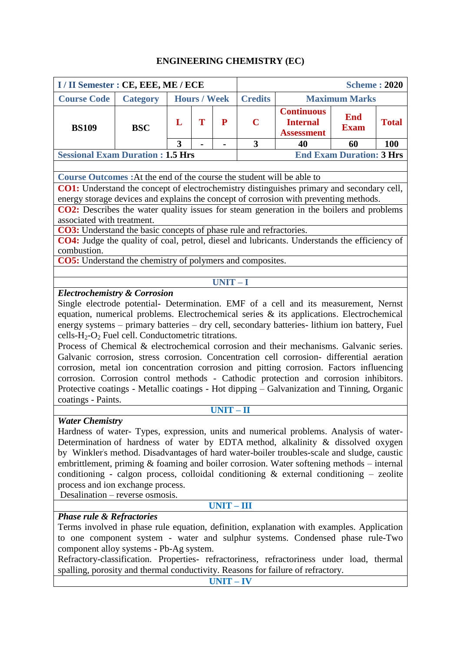### **ENGINEERING CHEMISTRY (EC)**

| I / II Semester : CE, EEE, ME / ECE                                                                                                                                                                                                                                                                                                                                                                                                                          |                                                                                                                                                                                                                                                                                                                                                                                                                                                                                                                                                                                                                                                                                                                                                                                                                                                                    |                                                                                                                              |                     |              |                |              | <b>Scheme: 2020</b>             |     |
|--------------------------------------------------------------------------------------------------------------------------------------------------------------------------------------------------------------------------------------------------------------------------------------------------------------------------------------------------------------------------------------------------------------------------------------------------------------|--------------------------------------------------------------------------------------------------------------------------------------------------------------------------------------------------------------------------------------------------------------------------------------------------------------------------------------------------------------------------------------------------------------------------------------------------------------------------------------------------------------------------------------------------------------------------------------------------------------------------------------------------------------------------------------------------------------------------------------------------------------------------------------------------------------------------------------------------------------------|------------------------------------------------------------------------------------------------------------------------------|---------------------|--------------|----------------|--------------|---------------------------------|-----|
| <b>Course Code</b>                                                                                                                                                                                                                                                                                                                                                                                                                                           | <b>Category</b>                                                                                                                                                                                                                                                                                                                                                                                                                                                                                                                                                                                                                                                                                                                                                                                                                                                    |                                                                                                                              | <b>Hours / Week</b> |              | <b>Credits</b> |              | <b>Maximum Marks</b>            |     |
| <b>BS109</b>                                                                                                                                                                                                                                                                                                                                                                                                                                                 | <b>BSC</b>                                                                                                                                                                                                                                                                                                                                                                                                                                                                                                                                                                                                                                                                                                                                                                                                                                                         | <b>Continuous</b><br><b>End</b><br>T<br>${\bf P}$<br>$\mathbf C$<br><b>Internal</b><br>L<br><b>Exam</b><br><b>Assessment</b> |                     |              |                | <b>Total</b> |                                 |     |
|                                                                                                                                                                                                                                                                                                                                                                                                                                                              |                                                                                                                                                                                                                                                                                                                                                                                                                                                                                                                                                                                                                                                                                                                                                                                                                                                                    | 3                                                                                                                            |                     |              | 3              | 40           | 60                              | 100 |
| <b>Sessional Exam Duration: 1.5 Hrs</b>                                                                                                                                                                                                                                                                                                                                                                                                                      |                                                                                                                                                                                                                                                                                                                                                                                                                                                                                                                                                                                                                                                                                                                                                                                                                                                                    |                                                                                                                              |                     |              |                |              | <b>End Exam Duration: 3 Hrs</b> |     |
|                                                                                                                                                                                                                                                                                                                                                                                                                                                              |                                                                                                                                                                                                                                                                                                                                                                                                                                                                                                                                                                                                                                                                                                                                                                                                                                                                    |                                                                                                                              |                     |              |                |              |                                 |     |
| <b>Course Outcomes:</b> At the end of the course the student will be able to                                                                                                                                                                                                                                                                                                                                                                                 |                                                                                                                                                                                                                                                                                                                                                                                                                                                                                                                                                                                                                                                                                                                                                                                                                                                                    |                                                                                                                              |                     |              |                |              |                                 |     |
| CO1: Understand the concept of electrochemistry distinguishes primary and secondary cell,<br>energy storage devices and explains the concept of corrosion with preventing methods.                                                                                                                                                                                                                                                                           |                                                                                                                                                                                                                                                                                                                                                                                                                                                                                                                                                                                                                                                                                                                                                                                                                                                                    |                                                                                                                              |                     |              |                |              |                                 |     |
| <b>CO2:</b> Describes the water quality issues for steam generation in the boilers and problems                                                                                                                                                                                                                                                                                                                                                              |                                                                                                                                                                                                                                                                                                                                                                                                                                                                                                                                                                                                                                                                                                                                                                                                                                                                    |                                                                                                                              |                     |              |                |              |                                 |     |
| associated with treatment.                                                                                                                                                                                                                                                                                                                                                                                                                                   |                                                                                                                                                                                                                                                                                                                                                                                                                                                                                                                                                                                                                                                                                                                                                                                                                                                                    |                                                                                                                              |                     |              |                |              |                                 |     |
| CO3: Understand the basic concepts of phase rule and refractories.                                                                                                                                                                                                                                                                                                                                                                                           |                                                                                                                                                                                                                                                                                                                                                                                                                                                                                                                                                                                                                                                                                                                                                                                                                                                                    |                                                                                                                              |                     |              |                |              |                                 |     |
| CO4: Judge the quality of coal, petrol, diesel and lubricants. Understands the efficiency of                                                                                                                                                                                                                                                                                                                                                                 |                                                                                                                                                                                                                                                                                                                                                                                                                                                                                                                                                                                                                                                                                                                                                                                                                                                                    |                                                                                                                              |                     |              |                |              |                                 |     |
| combustion.                                                                                                                                                                                                                                                                                                                                                                                                                                                  |                                                                                                                                                                                                                                                                                                                                                                                                                                                                                                                                                                                                                                                                                                                                                                                                                                                                    |                                                                                                                              |                     |              |                |              |                                 |     |
| <b>CO5:</b> Understand the chemistry of polymers and composites.                                                                                                                                                                                                                                                                                                                                                                                             |                                                                                                                                                                                                                                                                                                                                                                                                                                                                                                                                                                                                                                                                                                                                                                                                                                                                    |                                                                                                                              |                     |              |                |              |                                 |     |
|                                                                                                                                                                                                                                                                                                                                                                                                                                                              |                                                                                                                                                                                                                                                                                                                                                                                                                                                                                                                                                                                                                                                                                                                                                                                                                                                                    |                                                                                                                              |                     | $UNIT-I$     |                |              |                                 |     |
| coatings - Paints.                                                                                                                                                                                                                                                                                                                                                                                                                                           | <b>Electrochemistry &amp; Corrosion</b><br>Single electrode potential- Determination. EMF of a cell and its measurement, Nernst<br>equation, numerical problems. Electrochemical series & its applications. Electrochemical<br>energy systems - primary batteries - dry cell, secondary batteries- lithium ion battery, Fuel<br>cells- $H_2$ - $O_2$ Fuel cell. Conductometric titrations.<br>Process of Chemical & electrochemical corrosion and their mechanisms. Galvanic series.<br>Galvanic corrosion, stress corrosion. Concentration cell corrosion- differential aeration<br>corrosion, metal ion concentration corrosion and pitting corrosion. Factors influencing<br>corrosion. Corrosion control methods - Cathodic protection and corrosion inhibitors.<br>Protective coatings - Metallic coatings - Hot dipping - Galvanization and Tinning, Organic |                                                                                                                              |                     |              |                |              |                                 |     |
| <b>Water Chemistry</b>                                                                                                                                                                                                                                                                                                                                                                                                                                       |                                                                                                                                                                                                                                                                                                                                                                                                                                                                                                                                                                                                                                                                                                                                                                                                                                                                    |                                                                                                                              |                     | $UNIT-II$    |                |              |                                 |     |
|                                                                                                                                                                                                                                                                                                                                                                                                                                                              | Hardness of water- Types, expression, units and numerical problems. Analysis of water-<br>Determination of hardness of water by EDTA method, alkalinity & dissolved oxygen<br>by Winkler's method. Disadvantages of hard water-boiler troubles-scale and sludge, caustic<br>embrittlement, priming $\&$ foaming and boiler corrosion. Water softening methods – internal<br>conditioning - calgon process, colloidal conditioning $&$ external conditioning - zeolite<br>process and ion exchange process.<br>Desalination - reverse osmosis.                                                                                                                                                                                                                                                                                                                      |                                                                                                                              |                     |              |                |              |                                 |     |
|                                                                                                                                                                                                                                                                                                                                                                                                                                                              |                                                                                                                                                                                                                                                                                                                                                                                                                                                                                                                                                                                                                                                                                                                                                                                                                                                                    |                                                                                                                              |                     | $UNIT - III$ |                |              |                                 |     |
| <b>Phase rule &amp; Refractories</b><br>Terms involved in phase rule equation, definition, explanation with examples. Application<br>to one component system - water and sulphur systems. Condensed phase rule-Two<br>component alloy systems - Pb-Ag system.<br>Refractory-classification. Properties- refractoriness, refractoriness under load, thermal<br>spalling, porosity and thermal conductivity. Reasons for failure of refractory.<br>$UNIT - IV$ |                                                                                                                                                                                                                                                                                                                                                                                                                                                                                                                                                                                                                                                                                                                                                                                                                                                                    |                                                                                                                              |                     |              |                |              |                                 |     |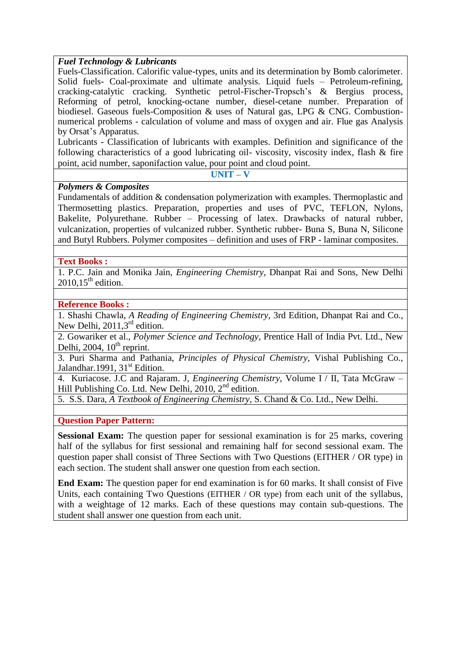### *Fuel Technology & Lubricants*

Fuels-Classification. Calorific value-types, units and its determination by Bomb calorimeter. Solid fuels- Coal-proximate and ultimate analysis. Liquid fuels – Petroleum-refining, cracking-catalytic cracking. Synthetic petrol-Fischer-Tropsch's & Bergius process, Reforming of petrol, knocking-octane number, diesel-cetane number. Preparation of biodiesel. Gaseous fuels-Composition & uses of Natural gas, LPG & CNG. Combustionnumerical problems - calculation of volume and mass of oxygen and air. Flue gas Analysis by Orsat's Apparatus.

Lubricants - Classification of lubricants with examples. Definition and significance of the following characteristics of a good lubricating oil- viscosity, viscosity index, flash & fire point, acid number, saponifaction value, pour point and cloud point.

**UNIT – V**

### *Polymers & Composites*

Fundamentals of addition & condensation polymerization with examples. Thermoplastic and Thermosetting plastics. Preparation, properties and uses of PVC, TEFLON, Nylons, Bakelite, Polyurethane. Rubber – Processing of latex. Drawbacks of natural rubber, vulcanization, properties of vulcanized rubber. Synthetic rubber- Buna S, Buna N, Silicone and Butyl Rubbers. Polymer composites – definition and uses of FRP - laminar composites.

### **Text Books :**

1. P.C. Jain and Monika Jain, *Engineering Chemistry*, Dhanpat Rai and Sons, New Delhi  $2010.15^{\text{th}}$  edition.

### **Reference Books :**

1. Shashi Chawla, *A Reading of Engineering Chemistry*, 3rd Edition, Dhanpat Rai and Co., New Delhi,  $2011,3<sup>rd</sup>$  edition.

2. Gowariker et al., *Polymer Science and Technology*, Prentice Hall of India Pvt. Ltd., New Delhi, 2004,  $10^{th}$  reprint.

3. Puri Sharma and Pathania, *Principles of Physical Chemistry,* Vishal Publishing Co., Jalandhar.1991,  $31<sup>st</sup>$  Edition.

4. Kuriacose. J.C and Rajaram. J, *Engineering Chemistry*, Volume I / II, Tata McGraw – Hill Publishing Co. Ltd. New Delhi,  $2010$ ,  $2<sup>nd</sup>$  edition.

5. S.S. Dara, *A Textbook of Engineering Chemistry*, S. Chand & Co. Ltd., New Delhi.

### **Question Paper Pattern:**

**Sessional Exam:** The question paper for sessional examination is for 25 marks, covering half of the syllabus for first sessional and remaining half for second sessional exam. The question paper shall consist of Three Sections with Two Questions (EITHER / OR type) in each section. The student shall answer one question from each section.

**End Exam:** The question paper for end examination is for 60 marks. It shall consist of Five Units, each containing Two Questions (EITHER / OR type) from each unit of the syllabus, with a weightage of 12 marks. Each of these questions may contain sub-questions. The student shall answer one question from each unit.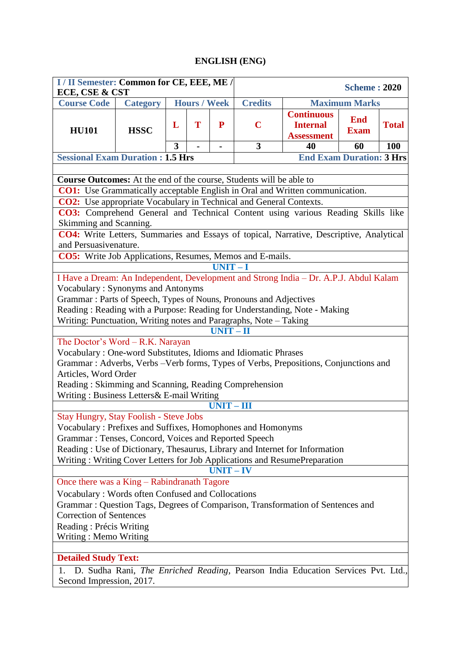### **ENGLISH (ENG)**

| I / II Semester: Common for CE, EEE, ME /<br>ECE, CSE & CST                                                                                                      |                                                                   |   |                     |             | <b>Scheme: 2020</b> |                                                                                  |                                 |              |  |  |
|------------------------------------------------------------------------------------------------------------------------------------------------------------------|-------------------------------------------------------------------|---|---------------------|-------------|---------------------|----------------------------------------------------------------------------------|---------------------------------|--------------|--|--|
| <b>Course Code</b>                                                                                                                                               | <b>Category</b>                                                   |   | <b>Hours / Week</b> |             | <b>Credits</b>      |                                                                                  | <b>Maximum Marks</b>            |              |  |  |
| <b>HU101</b>                                                                                                                                                     | <b>HSSC</b>                                                       | L | T                   | ${\bf P}$   | $\mathbf C$         | <b>Continuous</b><br><b>Internal</b><br><b>Assessment</b>                        | <b>End</b><br><b>Exam</b>       | <b>Total</b> |  |  |
|                                                                                                                                                                  |                                                                   | 3 |                     |             | $\overline{3}$      | 40                                                                               | 60                              | 100          |  |  |
| <b>Sessional Exam Duration : 1.5 Hrs</b>                                                                                                                         |                                                                   |   |                     |             |                     |                                                                                  | <b>End Exam Duration: 3 Hrs</b> |              |  |  |
|                                                                                                                                                                  |                                                                   |   |                     |             |                     |                                                                                  |                                 |              |  |  |
| <b>Course Outcomes:</b> At the end of the course, Students will be able to                                                                                       |                                                                   |   |                     |             |                     |                                                                                  |                                 |              |  |  |
| <b>CO1:</b> Use Grammatically acceptable English in Oral and Written communication.<br><b>CO2:</b> Use appropriate Vocabulary in Technical and General Contexts. |                                                                   |   |                     |             |                     |                                                                                  |                                 |              |  |  |
| CO3: Comprehend General and Technical Content using various Reading Skills like                                                                                  |                                                                   |   |                     |             |                     |                                                                                  |                                 |              |  |  |
| Skimming and Scanning.                                                                                                                                           |                                                                   |   |                     |             |                     |                                                                                  |                                 |              |  |  |
| CO4: Write Letters, Summaries and Essays of topical, Narrative, Descriptive, Analytical                                                                          |                                                                   |   |                     |             |                     |                                                                                  |                                 |              |  |  |
| and Persuasivenature.                                                                                                                                            |                                                                   |   |                     |             |                     |                                                                                  |                                 |              |  |  |
| CO5: Write Job Applications, Resumes, Memos and E-mails.                                                                                                         |                                                                   |   |                     |             |                     |                                                                                  |                                 |              |  |  |
|                                                                                                                                                                  |                                                                   |   |                     | $UNIT-I$    |                     |                                                                                  |                                 |              |  |  |
| I Have a Dream: An Independent, Development and Strong India - Dr. A.P.J. Abdul Kalam                                                                            |                                                                   |   |                     |             |                     |                                                                                  |                                 |              |  |  |
| Vocabulary: Synonyms and Antonyms                                                                                                                                |                                                                   |   |                     |             |                     |                                                                                  |                                 |              |  |  |
|                                                                                                                                                                  | Grammar: Parts of Speech, Types of Nouns, Pronouns and Adjectives |   |                     |             |                     |                                                                                  |                                 |              |  |  |
| Reading: Reading with a Purpose: Reading for Understanding, Note - Making<br>Writing: Punctuation, Writing notes and Paragraphs, Note - Taking                   |                                                                   |   |                     |             |                     |                                                                                  |                                 |              |  |  |
|                                                                                                                                                                  |                                                                   |   |                     | $UNIT - II$ |                     |                                                                                  |                                 |              |  |  |
| The Doctor's Word - R.K. Narayan                                                                                                                                 |                                                                   |   |                     |             |                     |                                                                                  |                                 |              |  |  |
| Vocabulary: One-word Substitutes, Idioms and Idiomatic Phrases                                                                                                   |                                                                   |   |                     |             |                     |                                                                                  |                                 |              |  |  |
| Grammar: Adverbs, Verbs - Verb forms, Types of Verbs, Prepositions, Conjunctions and                                                                             |                                                                   |   |                     |             |                     |                                                                                  |                                 |              |  |  |
| Articles, Word Order                                                                                                                                             |                                                                   |   |                     |             |                     |                                                                                  |                                 |              |  |  |
| Reading: Skimming and Scanning, Reading Comprehension                                                                                                            |                                                                   |   |                     |             |                     |                                                                                  |                                 |              |  |  |
| Writing: Business Letters& E-mail Writing                                                                                                                        |                                                                   |   |                     |             |                     |                                                                                  |                                 |              |  |  |
|                                                                                                                                                                  |                                                                   |   |                     | $UNIT-III$  |                     |                                                                                  |                                 |              |  |  |
| <b>Stay Hungry, Stay Foolish - Steve Jobs</b><br>Vocabulary: Prefixes and Suffixes, Homophones and Homonyms                                                      |                                                                   |   |                     |             |                     |                                                                                  |                                 |              |  |  |
| Grammar: Tenses, Concord, Voices and Reported Speech                                                                                                             |                                                                   |   |                     |             |                     |                                                                                  |                                 |              |  |  |
| Reading: Use of Dictionary, Thesaurus, Library and Internet for Information                                                                                      |                                                                   |   |                     |             |                     |                                                                                  |                                 |              |  |  |
| Writing: Writing Cover Letters for Job Applications and ResumePreparation                                                                                        |                                                                   |   |                     |             |                     |                                                                                  |                                 |              |  |  |
|                                                                                                                                                                  |                                                                   |   |                     | $UNIT - IV$ |                     |                                                                                  |                                 |              |  |  |
| Once there was a King - Rabindranath Tagore                                                                                                                      |                                                                   |   |                     |             |                     |                                                                                  |                                 |              |  |  |
| Vocabulary: Words often Confused and Collocations                                                                                                                |                                                                   |   |                     |             |                     |                                                                                  |                                 |              |  |  |
| Grammar: Question Tags, Degrees of Comparison, Transformation of Sentences and                                                                                   |                                                                   |   |                     |             |                     |                                                                                  |                                 |              |  |  |
| <b>Correction of Sentences</b>                                                                                                                                   |                                                                   |   |                     |             |                     |                                                                                  |                                 |              |  |  |
| Reading: Précis Writing                                                                                                                                          |                                                                   |   |                     |             |                     |                                                                                  |                                 |              |  |  |
| Writing: Memo Writing                                                                                                                                            |                                                                   |   |                     |             |                     |                                                                                  |                                 |              |  |  |
| <b>Detailed Study Text:</b>                                                                                                                                      |                                                                   |   |                     |             |                     |                                                                                  |                                 |              |  |  |
| 1.                                                                                                                                                               |                                                                   |   |                     |             |                     | D. Sudha Rani, The Enriched Reading, Pearson India Education Services Pvt. Ltd., |                                 |              |  |  |
| Second Impression, 2017.                                                                                                                                         |                                                                   |   |                     |             |                     |                                                                                  |                                 |              |  |  |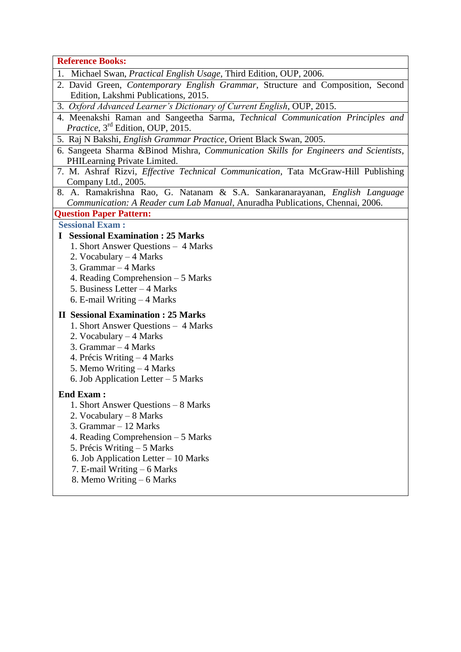**Reference Books:**

- 1. Michael Swan, *Practical English Usage*, Third Edition, OUP, 2006.
- 2. David Green, *Contemporary English Grammar*, Structure and Composition, Second Edition, Lakshmi Publications, 2015.
- 3. *Oxford Advanced Learner's Dictionary of Current English*, OUP, 2015.
- 4. Meenakshi Raman and Sangeetha Sarma, *Technical Communication Principles and Practice*,  $3<sup>rd</sup>$  Edition, OUP, 2015.
- 5. Raj N Bakshi, *English Grammar Practice*, Orient Black Swan, 2005.
- 6. Sangeeta Sharma &Binod Mishra, *Communication Skills for Engineers and Scientists*, PHILearning Private Limited.
- 7. M. Ashraf Rizvi, *Effective Technical Communication*, Tata McGraw-Hill Publishing Company Ltd., 2005.
- 8. A. Ramakrishna Rao, G. Natanam & S.A. Sankaranarayanan, *English Language Communication: A Reader cum Lab Manual*, Anuradha Publications, Chennai, 2006.

**Question Paper Pattern:** 

#### **Sessional Exam :**

### **I Sessional Examination : 25 Marks**

- 1. Short Answer Questions 4 Marks
- 2. Vocabulary 4 Marks
- 3. Grammar 4 Marks
- 4. Reading Comprehension 5 Marks
- 5. Business Letter 4 Marks
- 6. E-mail Writing 4 Marks

#### **II Sessional Examination : 25 Marks**

- 1. Short Answer Questions 4 Marks
- 2. Vocabulary 4 Marks
- 3. Grammar 4 Marks
- 4. Précis Writing 4 Marks
- 5. Memo Writing 4 Marks
- 6. Job Application Letter 5 Marks

### **End Exam :**

- 1. Short Answer Questions 8 Marks
- 2. Vocabulary 8 Marks
- 3. Grammar 12 Marks
- 4. Reading Comprehension 5 Marks
- 5. Précis Writing 5 Marks
- 6. Job Application Letter 10 Marks
- 7. E-mail Writing 6 Marks
- 8. Memo Writing 6 Marks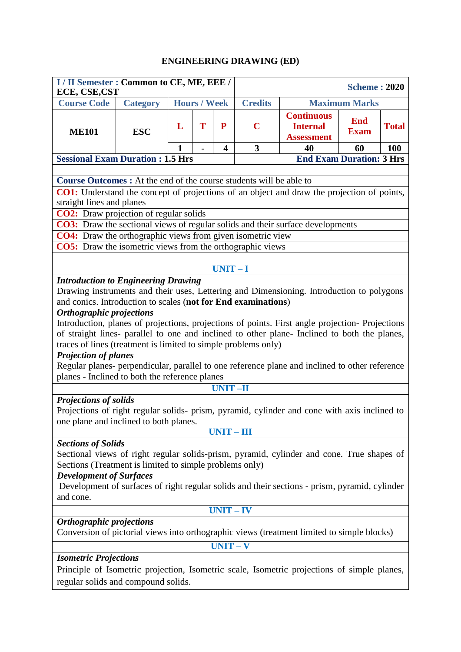### **ENGINEERING DRAWING (ED)**

| I / II Semester : Common to CE, ME, EEE /<br>ECE, CSE, CST                                                                                                                                                                                                                                                                                                                                                                                                                                                                                                                                                                                                                                                                                                                                     |                                                                                                                                                                                 |   |                     |                         |                                 |                                                                                            | <b>Scheme: 2020</b>  |              |  |  |  |
|------------------------------------------------------------------------------------------------------------------------------------------------------------------------------------------------------------------------------------------------------------------------------------------------------------------------------------------------------------------------------------------------------------------------------------------------------------------------------------------------------------------------------------------------------------------------------------------------------------------------------------------------------------------------------------------------------------------------------------------------------------------------------------------------|---------------------------------------------------------------------------------------------------------------------------------------------------------------------------------|---|---------------------|-------------------------|---------------------------------|--------------------------------------------------------------------------------------------|----------------------|--------------|--|--|--|
| <b>Course Code</b>                                                                                                                                                                                                                                                                                                                                                                                                                                                                                                                                                                                                                                                                                                                                                                             | <b>Category</b>                                                                                                                                                                 |   | <b>Hours / Week</b> |                         | <b>Credits</b>                  |                                                                                            | <b>Maximum Marks</b> |              |  |  |  |
| <b>ME101</b>                                                                                                                                                                                                                                                                                                                                                                                                                                                                                                                                                                                                                                                                                                                                                                                   | <b>ESC</b>                                                                                                                                                                      | L | T                   | ${\bf P}$               | $\mathbf C$                     | <b>Continuous</b><br><b>End</b><br><b>Internal</b><br><b>Exam</b><br><b>Assessment</b>     |                      | <b>Total</b> |  |  |  |
|                                                                                                                                                                                                                                                                                                                                                                                                                                                                                                                                                                                                                                                                                                                                                                                                |                                                                                                                                                                                 |   |                     | $\overline{\mathbf{4}}$ | 3                               | 40                                                                                         | 60                   | <b>100</b>   |  |  |  |
| <b>Sessional Exam Duration : 1.5 Hrs</b>                                                                                                                                                                                                                                                                                                                                                                                                                                                                                                                                                                                                                                                                                                                                                       |                                                                                                                                                                                 |   |                     |                         | <b>End Exam Duration: 3 Hrs</b> |                                                                                            |                      |              |  |  |  |
|                                                                                                                                                                                                                                                                                                                                                                                                                                                                                                                                                                                                                                                                                                                                                                                                |                                                                                                                                                                                 |   |                     |                         |                                 |                                                                                            |                      |              |  |  |  |
|                                                                                                                                                                                                                                                                                                                                                                                                                                                                                                                                                                                                                                                                                                                                                                                                | <b>Course Outcomes :</b> At the end of the course students will be able to<br><b>CO1:</b> Understand the concept of projections of an object and draw the projection of points, |   |                     |                         |                                 |                                                                                            |                      |              |  |  |  |
|                                                                                                                                                                                                                                                                                                                                                                                                                                                                                                                                                                                                                                                                                                                                                                                                |                                                                                                                                                                                 |   |                     |                         |                                 |                                                                                            |                      |              |  |  |  |
| straight lines and planes                                                                                                                                                                                                                                                                                                                                                                                                                                                                                                                                                                                                                                                                                                                                                                      |                                                                                                                                                                                 |   |                     |                         |                                 |                                                                                            |                      |              |  |  |  |
| <b>CO2:</b> Draw projection of regular solids                                                                                                                                                                                                                                                                                                                                                                                                                                                                                                                                                                                                                                                                                                                                                  |                                                                                                                                                                                 |   |                     |                         |                                 |                                                                                            |                      |              |  |  |  |
|                                                                                                                                                                                                                                                                                                                                                                                                                                                                                                                                                                                                                                                                                                                                                                                                |                                                                                                                                                                                 |   |                     |                         |                                 | <b>CO3:</b> Draw the sectional views of regular solids and their surface developments      |                      |              |  |  |  |
| <b>CO4:</b> Draw the orthographic views from given isometric view<br><b>CO5:</b> Draw the isometric views from the orthographic views                                                                                                                                                                                                                                                                                                                                                                                                                                                                                                                                                                                                                                                          |                                                                                                                                                                                 |   |                     |                         |                                 |                                                                                            |                      |              |  |  |  |
|                                                                                                                                                                                                                                                                                                                                                                                                                                                                                                                                                                                                                                                                                                                                                                                                |                                                                                                                                                                                 |   |                     |                         |                                 |                                                                                            |                      |              |  |  |  |
|                                                                                                                                                                                                                                                                                                                                                                                                                                                                                                                                                                                                                                                                                                                                                                                                |                                                                                                                                                                                 |   |                     | $UNIT-I$                |                                 |                                                                                            |                      |              |  |  |  |
|                                                                                                                                                                                                                                                                                                                                                                                                                                                                                                                                                                                                                                                                                                                                                                                                | <b>Introduction to Engineering Drawing</b>                                                                                                                                      |   |                     |                         |                                 |                                                                                            |                      |              |  |  |  |
| Drawing instruments and their uses, Lettering and Dimensioning. Introduction to polygons<br>and conics. Introduction to scales (not for End examinations)<br>Orthographic projections<br>Introduction, planes of projections, projections of points. First angle projection-Projections<br>of straight lines- parallel to one and inclined to other plane- Inclined to both the planes,<br>traces of lines (treatment is limited to simple problems only)<br><b>Projection of planes</b><br>Regular planes- perpendicular, parallel to one reference plane and inclined to other reference<br>planes - Inclined to both the reference planes<br><b>UNIT-II</b><br><b>Projections of solids</b><br>Projections of right regular solids- prism, pyramid, cylinder and cone with axis inclined to |                                                                                                                                                                                 |   |                     |                         |                                 |                                                                                            |                      |              |  |  |  |
| one plane and inclined to both planes.                                                                                                                                                                                                                                                                                                                                                                                                                                                                                                                                                                                                                                                                                                                                                         |                                                                                                                                                                                 |   |                     | $UNIT - III$            |                                 |                                                                                            |                      |              |  |  |  |
| <b>Sections of Solids</b><br>Sectional views of right regular solids-prism, pyramid, cylinder and cone. True shapes of<br>Sections (Treatment is limited to simple problems only)<br><b>Development of Surfaces</b><br>Development of surfaces of right regular solids and their sections - prism, pyramid, cylinder<br>and cone.                                                                                                                                                                                                                                                                                                                                                                                                                                                              |                                                                                                                                                                                 |   |                     |                         |                                 |                                                                                            |                      |              |  |  |  |
|                                                                                                                                                                                                                                                                                                                                                                                                                                                                                                                                                                                                                                                                                                                                                                                                |                                                                                                                                                                                 |   |                     | $UNIT - IV$             |                                 |                                                                                            |                      |              |  |  |  |
| Orthographic projections                                                                                                                                                                                                                                                                                                                                                                                                                                                                                                                                                                                                                                                                                                                                                                       |                                                                                                                                                                                 |   |                     |                         |                                 | Conversion of pictorial views into orthographic views (treatment limited to simple blocks) |                      |              |  |  |  |
|                                                                                                                                                                                                                                                                                                                                                                                                                                                                                                                                                                                                                                                                                                                                                                                                |                                                                                                                                                                                 |   |                     |                         |                                 |                                                                                            |                      |              |  |  |  |
| $UNIT - V$<br><b>Isometric Projections</b><br>Principle of Isometric projection, Isometric scale, Isometric projections of simple planes,<br>regular solids and compound solids.                                                                                                                                                                                                                                                                                                                                                                                                                                                                                                                                                                                                               |                                                                                                                                                                                 |   |                     |                         |                                 |                                                                                            |                      |              |  |  |  |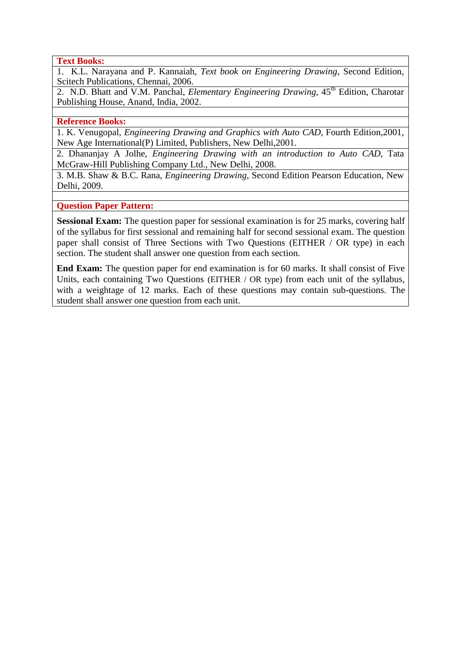**Text Books:**

1. K.L. Narayana and P. Kannaiah, *Text book on Engineering Drawing*, Second Edition, Scitech Publications, Chennai, 2006.

2. N.D. Bhatt and V.M. Panchal, *Elementary Engineering Drawing*, 45<sup>th</sup> Edition, Charotar Publishing House, Anand, India, 2002.

#### **Reference Books:**

1. K. Venugopal, *Engineering Drawing and Graphics with Auto CAD*, Fourth Edition,2001, New Age International(P) Limited, Publishers, New Delhi,2001.

2. Dhananjay A Jolhe, *Engineering Drawing with an introduction to Auto CAD*, Tata McGraw-Hill Publishing Company Ltd., New Delhi, 2008.

3. M.B. Shaw & B.C. Rana, *Engineering Drawing*, Second Edition Pearson Education, New Delhi, 2009.

**Question Paper Pattern:**

**Sessional Exam:** The question paper for sessional examination is for 25 marks, covering half of the syllabus for first sessional and remaining half for second sessional exam. The question paper shall consist of Three Sections with Two Questions (EITHER / OR type) in each section. The student shall answer one question from each section.

**End Exam:** The question paper for end examination is for 60 marks. It shall consist of Five Units, each containing Two Questions (EITHER / OR type) from each unit of the syllabus, with a weightage of 12 marks. Each of these questions may contain sub-questions. The student shall answer one question from each unit.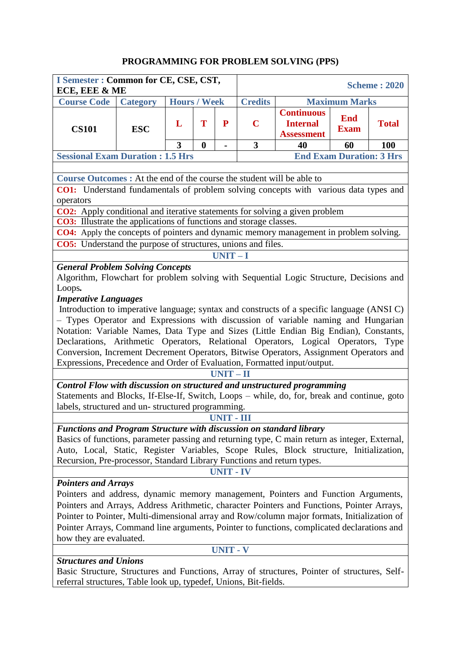# **PROGRAMMING FOR PROBLEM SOLVING (PPS)**

| I Semester : Common for CE, CSE, CST,<br>ECE, EEE & ME                                                                                                                          |                 |                     |                  |                  |                |                                                                                        |                                 | <b>Scheme: 2020</b> |
|---------------------------------------------------------------------------------------------------------------------------------------------------------------------------------|-----------------|---------------------|------------------|------------------|----------------|----------------------------------------------------------------------------------------|---------------------------------|---------------------|
| <b>Course Code</b>                                                                                                                                                              | <b>Category</b> | <b>Hours / Week</b> |                  |                  | <b>Credits</b> |                                                                                        | <b>Maximum Marks</b>            |                     |
| <b>CS101</b>                                                                                                                                                                    | <b>ESC</b>      | L                   | T                | P                | $\mathbf C$    | <b>Continuous</b><br><b>End</b><br><b>Internal</b><br><b>Exam</b><br><b>Assessment</b> |                                 | <b>Total</b>        |
|                                                                                                                                                                                 |                 | 3                   | $\boldsymbol{0}$ |                  | 3              | 40                                                                                     | 60                              | 100                 |
| <b>Sessional Exam Duration : 1.5 Hrs</b>                                                                                                                                        |                 |                     |                  |                  |                |                                                                                        | <b>End Exam Duration: 3 Hrs</b> |                     |
|                                                                                                                                                                                 |                 |                     |                  |                  |                |                                                                                        |                                 |                     |
| <b>Course Outcomes :</b> At the end of the course the student will be able to                                                                                                   |                 |                     |                  |                  |                |                                                                                        |                                 |                     |
| CO1: Understand fundamentals of problem solving concepts with various data types and                                                                                            |                 |                     |                  |                  |                |                                                                                        |                                 |                     |
| operators                                                                                                                                                                       |                 |                     |                  |                  |                |                                                                                        |                                 |                     |
| <b>CO2:</b> Apply conditional and iterative statements for solving a given problem                                                                                              |                 |                     |                  |                  |                |                                                                                        |                                 |                     |
| <b>CO3:</b> Illustrate the applications of functions and storage classes.                                                                                                       |                 |                     |                  |                  |                |                                                                                        |                                 |                     |
| <b>CO4:</b> Apply the concepts of pointers and dynamic memory management in problem solving.                                                                                    |                 |                     |                  |                  |                |                                                                                        |                                 |                     |
| <b>CO5:</b> Understand the purpose of structures, unions and files.                                                                                                             |                 |                     |                  |                  |                |                                                                                        |                                 |                     |
|                                                                                                                                                                                 |                 |                     |                  | $UNIT-I$         |                |                                                                                        |                                 |                     |
| <b>General Problem Solving Concepts</b><br>Algorithm, Flowchart for problem solving with Sequential Logic Structure, Decisions and                                              |                 |                     |                  |                  |                |                                                                                        |                                 |                     |
| Loops.                                                                                                                                                                          |                 |                     |                  |                  |                |                                                                                        |                                 |                     |
| <b>Imperative Languages</b>                                                                                                                                                     |                 |                     |                  |                  |                |                                                                                        |                                 |                     |
| Introduction to imperative language; syntax and constructs of a specific language (ANSI C)<br>- Types Operator and Expressions with discussion of variable naming and Hungarian |                 |                     |                  |                  |                |                                                                                        |                                 |                     |
|                                                                                                                                                                                 |                 |                     |                  |                  |                |                                                                                        |                                 |                     |
| Notation: Variable Names, Data Type and Sizes (Little Endian Big Endian), Constants,<br>Declarations, Arithmetic Operators, Relational Operators, Logical Operators, Type       |                 |                     |                  |                  |                |                                                                                        |                                 |                     |
| Conversion, Increment Decrement Operators, Bitwise Operators, Assignment Operators and                                                                                          |                 |                     |                  |                  |                |                                                                                        |                                 |                     |
| Expressions, Precedence and Order of Evaluation, Formatted input/output.                                                                                                        |                 |                     |                  |                  |                |                                                                                        |                                 |                     |
|                                                                                                                                                                                 |                 |                     |                  | $UNIT-II$        |                |                                                                                        |                                 |                     |
| Control Flow with discussion on structured and unstructured programming                                                                                                         |                 |                     |                  |                  |                |                                                                                        |                                 |                     |
| Statements and Blocks, If-Else-If, Switch, Loops - while, do, for, break and continue, goto                                                                                     |                 |                     |                  |                  |                |                                                                                        |                                 |                     |
| labels, structured and un-structured programming.                                                                                                                               |                 |                     |                  |                  |                |                                                                                        |                                 |                     |
|                                                                                                                                                                                 |                 |                     |                  | UNIT - III       |                |                                                                                        |                                 |                     |
| <b>Functions and Program Structure with discussion on standard library</b>                                                                                                      |                 |                     |                  |                  |                |                                                                                        |                                 |                     |
| Basics of functions, parameter passing and returning type, C main return as integer, External,                                                                                  |                 |                     |                  |                  |                |                                                                                        |                                 |                     |
| Auto, Local, Static, Register Variables, Scope Rules, Block structure, Initialization,                                                                                          |                 |                     |                  |                  |                |                                                                                        |                                 |                     |
| Recursion, Pre-processor, Standard Library Functions and return types.                                                                                                          |                 |                     |                  |                  |                |                                                                                        |                                 |                     |
|                                                                                                                                                                                 |                 |                     |                  | <b>UNIT - IV</b> |                |                                                                                        |                                 |                     |
| <b>Pointers and Arrays</b>                                                                                                                                                      |                 |                     |                  |                  |                |                                                                                        |                                 |                     |
| Pointers and address, dynamic memory management, Pointers and Function Arguments,                                                                                               |                 |                     |                  |                  |                |                                                                                        |                                 |                     |
| Pointers and Arrays, Address Arithmetic, character Pointers and Functions, Pointer Arrays,                                                                                      |                 |                     |                  |                  |                |                                                                                        |                                 |                     |
| Pointer to Pointer, Multi-dimensional array and Row/column major formats, Initialization of                                                                                     |                 |                     |                  |                  |                |                                                                                        |                                 |                     |
| Pointer Arrays, Command line arguments, Pointer to functions, complicated declarations and                                                                                      |                 |                     |                  |                  |                |                                                                                        |                                 |                     |
| how they are evaluated.                                                                                                                                                         |                 |                     |                  |                  |                |                                                                                        |                                 |                     |
|                                                                                                                                                                                 |                 |                     |                  | <b>UNIT - V</b>  |                |                                                                                        |                                 |                     |
| <b>Structures and Unions</b>                                                                                                                                                    |                 |                     |                  |                  |                |                                                                                        |                                 |                     |
| Basic Structure, Structures and Functions, Array of structures, Pointer of structures, Self-                                                                                    |                 |                     |                  |                  |                |                                                                                        |                                 |                     |
| referral structures, Table look up, typedef, Unions, Bit-fields.                                                                                                                |                 |                     |                  |                  |                |                                                                                        |                                 |                     |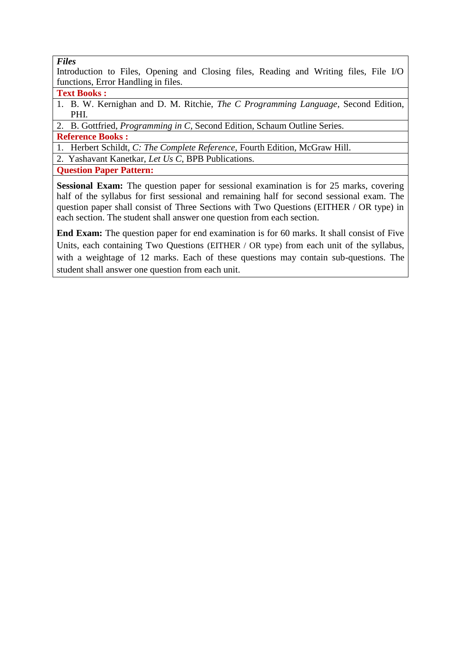### *Files*

Introduction to Files, Opening and Closing files, Reading and Writing files, File I/O functions, Error Handling in files.

### **Text Books :**

1. B. W. Kernighan and D. M. Ritchie, *The C Programming Language*, Second Edition, PHI.

2. B. Gottfried, *Programming in C*, Second Edition, Schaum Outline Series.

**Reference Books :**

1. Herbert Schildt, *C: The Complete Reference*, Fourth Edition, McGraw Hill.

2. Yashavant Kanetkar, *Let Us C*, BPB Publications.

**Question Paper Pattern:** 

**Sessional Exam:** The question paper for sessional examination is for 25 marks, covering half of the syllabus for first sessional and remaining half for second sessional exam. The question paper shall consist of Three Sections with Two Questions (EITHER / OR type) in each section. The student shall answer one question from each section.

**End Exam:** The question paper for end examination is for 60 marks. It shall consist of Five Units, each containing Two Questions (EITHER / OR type) from each unit of the syllabus, with a weightage of 12 marks. Each of these questions may contain sub-questions. The student shall answer one question from each unit.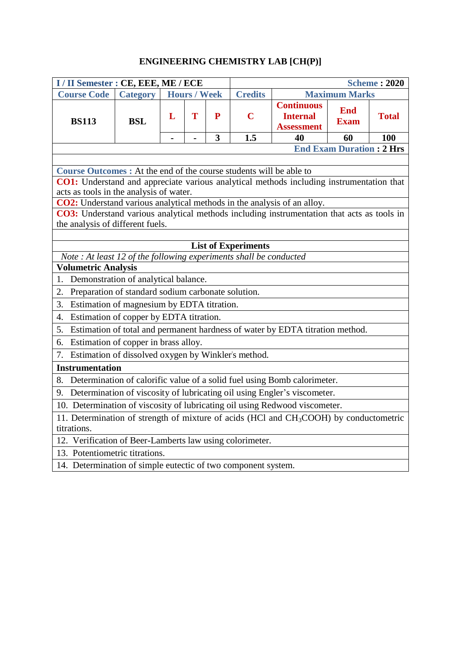# **ENGINEERING CHEMISTRY LAB [CH(P)]**

| <b>Credits</b><br><b>Maximum Marks</b><br><b>Course Code</b><br><b>Hours / Week</b><br><b>Category</b><br><b>Continuous</b><br><b>End</b><br>T<br>$\mathbf C$<br>L<br>P<br><b>Total</b><br><b>Internal</b><br><b>BS113</b><br><b>BSL</b><br><b>Exam</b><br><b>Assessment</b><br>$\mathbf{3}$<br>1.5<br>40<br>60<br><b>100</b><br>$\blacksquare$<br><b>End Exam Duration: 2 Hrs</b><br>Course Outcomes : At the end of the course students will be able to<br>CO1: Understand and appreciate various analytical methods including instrumentation that<br>acts as tools in the analysis of water.<br><b>CO2:</b> Understand various analytical methods in the analysis of an alloy.<br>CO3: Understand various analytical methods including instrumentation that acts as tools in<br>the analysis of different fuels.<br><b>List of Experiments</b><br>Note: At least 12 of the following experiments shall be conducted<br><b>Volumetric Analysis</b><br>Demonstration of analytical balance.<br>1.<br>Preparation of standard sodium carbonate solution.<br>2.<br>Estimation of magnesium by EDTA titration.<br>3.<br>Estimation of copper by EDTA titration.<br>4.<br>Estimation of total and permanent hardness of water by EDTA titration method.<br>5.<br>Estimation of copper in brass alloy.<br>6.<br>Estimation of dissolved oxygen by Winkler's method.<br>7.<br><b>Instrumentation</b><br>Determination of calorific value of a solid fuel using Bomb calorimeter.<br>8.<br>Determination of viscosity of lubricating oil using Engler's viscometer.<br>9.<br>10. Determination of viscosity of lubricating oil using Redwood viscometer.<br>11. Determination of strength of mixture of acids (HCl and CH <sub>3</sub> COOH) by conductometric<br>titrations.<br>12. Verification of Beer-Lamberts law using colorimeter.<br>13. Potentiometric titrations.<br>14. Determination of simple eutectic of two component system. | I / II Semester : CE, EEE, ME / ECE |  |  |  |  |  | <b>Scheme: 2020</b> |  |  |
|-----------------------------------------------------------------------------------------------------------------------------------------------------------------------------------------------------------------------------------------------------------------------------------------------------------------------------------------------------------------------------------------------------------------------------------------------------------------------------------------------------------------------------------------------------------------------------------------------------------------------------------------------------------------------------------------------------------------------------------------------------------------------------------------------------------------------------------------------------------------------------------------------------------------------------------------------------------------------------------------------------------------------------------------------------------------------------------------------------------------------------------------------------------------------------------------------------------------------------------------------------------------------------------------------------------------------------------------------------------------------------------------------------------------------------------------------------------------------------------------------------------------------------------------------------------------------------------------------------------------------------------------------------------------------------------------------------------------------------------------------------------------------------------------------------------------------------------------------------------------------------------------------------------------------------------------|-------------------------------------|--|--|--|--|--|---------------------|--|--|
|                                                                                                                                                                                                                                                                                                                                                                                                                                                                                                                                                                                                                                                                                                                                                                                                                                                                                                                                                                                                                                                                                                                                                                                                                                                                                                                                                                                                                                                                                                                                                                                                                                                                                                                                                                                                                                                                                                                                         |                                     |  |  |  |  |  |                     |  |  |
|                                                                                                                                                                                                                                                                                                                                                                                                                                                                                                                                                                                                                                                                                                                                                                                                                                                                                                                                                                                                                                                                                                                                                                                                                                                                                                                                                                                                                                                                                                                                                                                                                                                                                                                                                                                                                                                                                                                                         |                                     |  |  |  |  |  |                     |  |  |
|                                                                                                                                                                                                                                                                                                                                                                                                                                                                                                                                                                                                                                                                                                                                                                                                                                                                                                                                                                                                                                                                                                                                                                                                                                                                                                                                                                                                                                                                                                                                                                                                                                                                                                                                                                                                                                                                                                                                         |                                     |  |  |  |  |  |                     |  |  |
|                                                                                                                                                                                                                                                                                                                                                                                                                                                                                                                                                                                                                                                                                                                                                                                                                                                                                                                                                                                                                                                                                                                                                                                                                                                                                                                                                                                                                                                                                                                                                                                                                                                                                                                                                                                                                                                                                                                                         |                                     |  |  |  |  |  |                     |  |  |
|                                                                                                                                                                                                                                                                                                                                                                                                                                                                                                                                                                                                                                                                                                                                                                                                                                                                                                                                                                                                                                                                                                                                                                                                                                                                                                                                                                                                                                                                                                                                                                                                                                                                                                                                                                                                                                                                                                                                         |                                     |  |  |  |  |  |                     |  |  |
|                                                                                                                                                                                                                                                                                                                                                                                                                                                                                                                                                                                                                                                                                                                                                                                                                                                                                                                                                                                                                                                                                                                                                                                                                                                                                                                                                                                                                                                                                                                                                                                                                                                                                                                                                                                                                                                                                                                                         |                                     |  |  |  |  |  |                     |  |  |
|                                                                                                                                                                                                                                                                                                                                                                                                                                                                                                                                                                                                                                                                                                                                                                                                                                                                                                                                                                                                                                                                                                                                                                                                                                                                                                                                                                                                                                                                                                                                                                                                                                                                                                                                                                                                                                                                                                                                         |                                     |  |  |  |  |  |                     |  |  |
|                                                                                                                                                                                                                                                                                                                                                                                                                                                                                                                                                                                                                                                                                                                                                                                                                                                                                                                                                                                                                                                                                                                                                                                                                                                                                                                                                                                                                                                                                                                                                                                                                                                                                                                                                                                                                                                                                                                                         |                                     |  |  |  |  |  |                     |  |  |
|                                                                                                                                                                                                                                                                                                                                                                                                                                                                                                                                                                                                                                                                                                                                                                                                                                                                                                                                                                                                                                                                                                                                                                                                                                                                                                                                                                                                                                                                                                                                                                                                                                                                                                                                                                                                                                                                                                                                         |                                     |  |  |  |  |  |                     |  |  |
|                                                                                                                                                                                                                                                                                                                                                                                                                                                                                                                                                                                                                                                                                                                                                                                                                                                                                                                                                                                                                                                                                                                                                                                                                                                                                                                                                                                                                                                                                                                                                                                                                                                                                                                                                                                                                                                                                                                                         |                                     |  |  |  |  |  |                     |  |  |
|                                                                                                                                                                                                                                                                                                                                                                                                                                                                                                                                                                                                                                                                                                                                                                                                                                                                                                                                                                                                                                                                                                                                                                                                                                                                                                                                                                                                                                                                                                                                                                                                                                                                                                                                                                                                                                                                                                                                         |                                     |  |  |  |  |  |                     |  |  |
|                                                                                                                                                                                                                                                                                                                                                                                                                                                                                                                                                                                                                                                                                                                                                                                                                                                                                                                                                                                                                                                                                                                                                                                                                                                                                                                                                                                                                                                                                                                                                                                                                                                                                                                                                                                                                                                                                                                                         |                                     |  |  |  |  |  |                     |  |  |
|                                                                                                                                                                                                                                                                                                                                                                                                                                                                                                                                                                                                                                                                                                                                                                                                                                                                                                                                                                                                                                                                                                                                                                                                                                                                                                                                                                                                                                                                                                                                                                                                                                                                                                                                                                                                                                                                                                                                         |                                     |  |  |  |  |  |                     |  |  |
|                                                                                                                                                                                                                                                                                                                                                                                                                                                                                                                                                                                                                                                                                                                                                                                                                                                                                                                                                                                                                                                                                                                                                                                                                                                                                                                                                                                                                                                                                                                                                                                                                                                                                                                                                                                                                                                                                                                                         |                                     |  |  |  |  |  |                     |  |  |
|                                                                                                                                                                                                                                                                                                                                                                                                                                                                                                                                                                                                                                                                                                                                                                                                                                                                                                                                                                                                                                                                                                                                                                                                                                                                                                                                                                                                                                                                                                                                                                                                                                                                                                                                                                                                                                                                                                                                         |                                     |  |  |  |  |  |                     |  |  |
|                                                                                                                                                                                                                                                                                                                                                                                                                                                                                                                                                                                                                                                                                                                                                                                                                                                                                                                                                                                                                                                                                                                                                                                                                                                                                                                                                                                                                                                                                                                                                                                                                                                                                                                                                                                                                                                                                                                                         |                                     |  |  |  |  |  |                     |  |  |
|                                                                                                                                                                                                                                                                                                                                                                                                                                                                                                                                                                                                                                                                                                                                                                                                                                                                                                                                                                                                                                                                                                                                                                                                                                                                                                                                                                                                                                                                                                                                                                                                                                                                                                                                                                                                                                                                                                                                         |                                     |  |  |  |  |  |                     |  |  |
|                                                                                                                                                                                                                                                                                                                                                                                                                                                                                                                                                                                                                                                                                                                                                                                                                                                                                                                                                                                                                                                                                                                                                                                                                                                                                                                                                                                                                                                                                                                                                                                                                                                                                                                                                                                                                                                                                                                                         |                                     |  |  |  |  |  |                     |  |  |
|                                                                                                                                                                                                                                                                                                                                                                                                                                                                                                                                                                                                                                                                                                                                                                                                                                                                                                                                                                                                                                                                                                                                                                                                                                                                                                                                                                                                                                                                                                                                                                                                                                                                                                                                                                                                                                                                                                                                         |                                     |  |  |  |  |  |                     |  |  |
|                                                                                                                                                                                                                                                                                                                                                                                                                                                                                                                                                                                                                                                                                                                                                                                                                                                                                                                                                                                                                                                                                                                                                                                                                                                                                                                                                                                                                                                                                                                                                                                                                                                                                                                                                                                                                                                                                                                                         |                                     |  |  |  |  |  |                     |  |  |
|                                                                                                                                                                                                                                                                                                                                                                                                                                                                                                                                                                                                                                                                                                                                                                                                                                                                                                                                                                                                                                                                                                                                                                                                                                                                                                                                                                                                                                                                                                                                                                                                                                                                                                                                                                                                                                                                                                                                         |                                     |  |  |  |  |  |                     |  |  |
|                                                                                                                                                                                                                                                                                                                                                                                                                                                                                                                                                                                                                                                                                                                                                                                                                                                                                                                                                                                                                                                                                                                                                                                                                                                                                                                                                                                                                                                                                                                                                                                                                                                                                                                                                                                                                                                                                                                                         |                                     |  |  |  |  |  |                     |  |  |
|                                                                                                                                                                                                                                                                                                                                                                                                                                                                                                                                                                                                                                                                                                                                                                                                                                                                                                                                                                                                                                                                                                                                                                                                                                                                                                                                                                                                                                                                                                                                                                                                                                                                                                                                                                                                                                                                                                                                         |                                     |  |  |  |  |  |                     |  |  |
|                                                                                                                                                                                                                                                                                                                                                                                                                                                                                                                                                                                                                                                                                                                                                                                                                                                                                                                                                                                                                                                                                                                                                                                                                                                                                                                                                                                                                                                                                                                                                                                                                                                                                                                                                                                                                                                                                                                                         |                                     |  |  |  |  |  |                     |  |  |
|                                                                                                                                                                                                                                                                                                                                                                                                                                                                                                                                                                                                                                                                                                                                                                                                                                                                                                                                                                                                                                                                                                                                                                                                                                                                                                                                                                                                                                                                                                                                                                                                                                                                                                                                                                                                                                                                                                                                         |                                     |  |  |  |  |  |                     |  |  |
|                                                                                                                                                                                                                                                                                                                                                                                                                                                                                                                                                                                                                                                                                                                                                                                                                                                                                                                                                                                                                                                                                                                                                                                                                                                                                                                                                                                                                                                                                                                                                                                                                                                                                                                                                                                                                                                                                                                                         |                                     |  |  |  |  |  |                     |  |  |
|                                                                                                                                                                                                                                                                                                                                                                                                                                                                                                                                                                                                                                                                                                                                                                                                                                                                                                                                                                                                                                                                                                                                                                                                                                                                                                                                                                                                                                                                                                                                                                                                                                                                                                                                                                                                                                                                                                                                         |                                     |  |  |  |  |  |                     |  |  |
|                                                                                                                                                                                                                                                                                                                                                                                                                                                                                                                                                                                                                                                                                                                                                                                                                                                                                                                                                                                                                                                                                                                                                                                                                                                                                                                                                                                                                                                                                                                                                                                                                                                                                                                                                                                                                                                                                                                                         |                                     |  |  |  |  |  |                     |  |  |
|                                                                                                                                                                                                                                                                                                                                                                                                                                                                                                                                                                                                                                                                                                                                                                                                                                                                                                                                                                                                                                                                                                                                                                                                                                                                                                                                                                                                                                                                                                                                                                                                                                                                                                                                                                                                                                                                                                                                         |                                     |  |  |  |  |  |                     |  |  |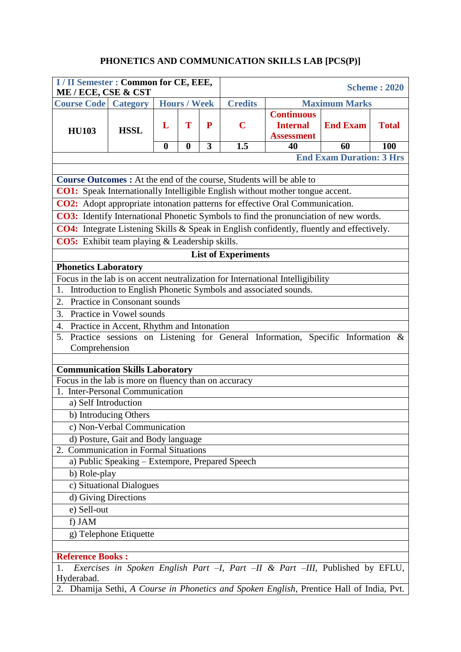# **PHONETICS AND COMMUNICATION SKILLS LAB [PCS(P)]**

| I / II Semester : Common for CE, EEE,<br>ME / ECE, CSE & CST |                                                 |                     |                  |   |                                 |                                                                                           |                                         | <b>Scheme: 2020</b> |  |  |  |
|--------------------------------------------------------------|-------------------------------------------------|---------------------|------------------|---|---------------------------------|-------------------------------------------------------------------------------------------|-----------------------------------------|---------------------|--|--|--|
| <b>Course Code</b> Category                                  |                                                 | <b>Hours / Week</b> |                  |   | <b>Credits</b>                  |                                                                                           |                                         |                     |  |  |  |
| <b>HU103</b>                                                 | <b>HSSL</b>                                     | L                   | T                | P | $\mathbf C$                     | <b>Continuous</b><br><b>Internal</b><br><b>Assessment</b>                                 | <b>Maximum Marks</b><br><b>End Exam</b> | <b>Total</b>        |  |  |  |
|                                                              |                                                 | $\mathbf{0}$        | $\boldsymbol{0}$ | 3 | 1.5                             | 40                                                                                        | 60                                      | 100                 |  |  |  |
|                                                              |                                                 |                     |                  |   | <b>End Exam Duration: 3 Hrs</b> |                                                                                           |                                         |                     |  |  |  |
|                                                              |                                                 |                     |                  |   |                                 |                                                                                           |                                         |                     |  |  |  |
|                                                              |                                                 |                     |                  |   |                                 | Course Outcomes : At the end of the course, Students will be able to                      |                                         |                     |  |  |  |
|                                                              |                                                 |                     |                  |   |                                 | <b>CO1:</b> Speak Internationally Intelligible English without mother tongue accent.      |                                         |                     |  |  |  |
|                                                              |                                                 |                     |                  |   |                                 | CO2: Adopt appropriate intonation patterns for effective Oral Communication.              |                                         |                     |  |  |  |
|                                                              |                                                 |                     |                  |   |                                 | CO3: Identify International Phonetic Symbols to find the pronunciation of new words.      |                                         |                     |  |  |  |
|                                                              |                                                 |                     |                  |   |                                 | CO4: Integrate Listening Skills & Speak in English confidently, fluently and effectively. |                                         |                     |  |  |  |
| <b>CO5:</b> Exhibit team playing & Leadership skills.        |                                                 |                     |                  |   |                                 |                                                                                           |                                         |                     |  |  |  |
|                                                              |                                                 |                     |                  |   | <b>List of Experiments</b>      |                                                                                           |                                         |                     |  |  |  |
| <b>Phonetics Laboratory</b>                                  |                                                 |                     |                  |   |                                 |                                                                                           |                                         |                     |  |  |  |
|                                                              |                                                 |                     |                  |   |                                 | Focus in the lab is on accent neutralization for International Intelligibility            |                                         |                     |  |  |  |
| 1.                                                           |                                                 |                     |                  |   |                                 | Introduction to English Phonetic Symbols and associated sounds.                           |                                         |                     |  |  |  |
| 2.                                                           | Practice in Consonant sounds                    |                     |                  |   |                                 |                                                                                           |                                         |                     |  |  |  |
| 3.<br>Practice in Vowel sounds                               |                                                 |                     |                  |   |                                 |                                                                                           |                                         |                     |  |  |  |
| Practice in Accent, Rhythm and Intonation<br>4.              |                                                 |                     |                  |   |                                 |                                                                                           |                                         |                     |  |  |  |
| 5.                                                           |                                                 |                     |                  |   |                                 | Practice sessions on Listening for General Information, Specific Information &            |                                         |                     |  |  |  |
| Comprehension                                                |                                                 |                     |                  |   |                                 |                                                                                           |                                         |                     |  |  |  |
| <b>Communication Skills Laboratory</b>                       |                                                 |                     |                  |   |                                 |                                                                                           |                                         |                     |  |  |  |
| Focus in the lab is more on fluency than on accuracy         |                                                 |                     |                  |   |                                 |                                                                                           |                                         |                     |  |  |  |
| 1. Inter-Personal Communication                              |                                                 |                     |                  |   |                                 |                                                                                           |                                         |                     |  |  |  |
| a) Self Introduction                                         |                                                 |                     |                  |   |                                 |                                                                                           |                                         |                     |  |  |  |
|                                                              | b) Introducing Others                           |                     |                  |   |                                 |                                                                                           |                                         |                     |  |  |  |
|                                                              | c) Non-Verbal Communication                     |                     |                  |   |                                 |                                                                                           |                                         |                     |  |  |  |
|                                                              | d) Posture, Gait and Body language              |                     |                  |   |                                 |                                                                                           |                                         |                     |  |  |  |
| 2.                                                           | <b>Communication in Formal Situations</b>       |                     |                  |   |                                 |                                                                                           |                                         |                     |  |  |  |
|                                                              | a) Public Speaking - Extempore, Prepared Speech |                     |                  |   |                                 |                                                                                           |                                         |                     |  |  |  |
| b) Role-play                                                 |                                                 |                     |                  |   |                                 |                                                                                           |                                         |                     |  |  |  |
|                                                              | c) Situational Dialogues                        |                     |                  |   |                                 |                                                                                           |                                         |                     |  |  |  |
|                                                              | d) Giving Directions                            |                     |                  |   |                                 |                                                                                           |                                         |                     |  |  |  |
| e) Sell-out                                                  |                                                 |                     |                  |   |                                 |                                                                                           |                                         |                     |  |  |  |
| f) JAM                                                       |                                                 |                     |                  |   |                                 |                                                                                           |                                         |                     |  |  |  |
|                                                              | g) Telephone Etiquette                          |                     |                  |   |                                 |                                                                                           |                                         |                     |  |  |  |
|                                                              |                                                 |                     |                  |   |                                 |                                                                                           |                                         |                     |  |  |  |
| <b>Reference Books:</b>                                      |                                                 |                     |                  |   |                                 |                                                                                           |                                         |                     |  |  |  |
| Hyderabad.                                                   |                                                 |                     |                  |   |                                 | Exercises in Spoken English Part -I, Part -II & Part -III, Published by EFLU,             |                                         |                     |  |  |  |
|                                                              |                                                 |                     |                  |   |                                 | 2. Dhamija Sethi, A Course in Phonetics and Spoken English, Prentice Hall of India, Pvt.  |                                         |                     |  |  |  |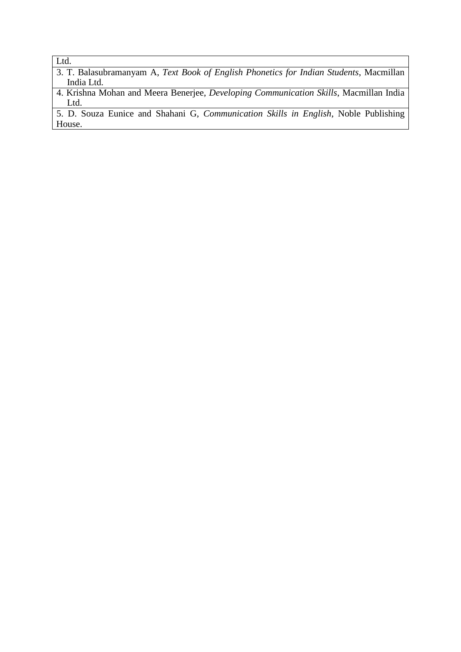Ltd.

3. T. Balasubramanyam A, *Text Book of English Phonetics for Indian Students*, Macmillan India Ltd.

4. Krishna Mohan and Meera Benerjee, *Developing Communication Skills*, Macmillan India Ltd.

5. D. Souza Eunice and Shahani G, *Communication Skills in English*, Noble Publishing House.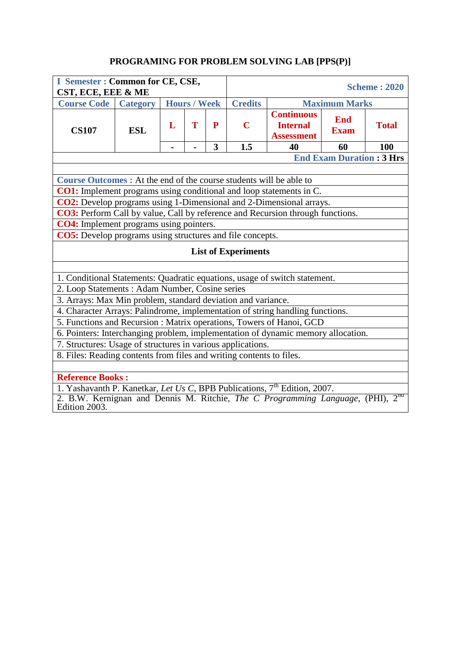# **PROGRAMING FOR PROBLEM SOLVING LAB [PPS(P)]**

| I Semester : Common for CE, CSE,<br>CST, ECE, EEE & ME                                                                                                  |                 |   |                     |           |                                                                                                                       |    |                                 | <b>Scheme: 2020</b>      |  |  |  |
|---------------------------------------------------------------------------------------------------------------------------------------------------------|-----------------|---|---------------------|-----------|-----------------------------------------------------------------------------------------------------------------------|----|---------------------------------|--------------------------|--|--|--|
| <b>Course Code</b>                                                                                                                                      | <b>Category</b> |   | <b>Hours / Week</b> |           | <b>Credits</b>                                                                                                        |    | <b>Maximum Marks</b>            |                          |  |  |  |
| <b>CS107</b>                                                                                                                                            | <b>ESL</b>      | L | T                   | ${\bf P}$ | <b>Continuous</b><br><b>End</b><br><b>Internal</b><br><b>Total</b><br>$\mathbf C$<br><b>Exam</b><br><b>Assessment</b> |    |                                 |                          |  |  |  |
|                                                                                                                                                         |                 |   |                     | 3         | 1.5                                                                                                                   | 40 | 60                              | 100                      |  |  |  |
|                                                                                                                                                         |                 |   |                     |           |                                                                                                                       |    | <b>End Exam Duration: 3 Hrs</b> |                          |  |  |  |
|                                                                                                                                                         |                 |   |                     |           |                                                                                                                       |    |                                 |                          |  |  |  |
| Course Outcomes : At the end of the course students will be able to                                                                                     |                 |   |                     |           |                                                                                                                       |    |                                 |                          |  |  |  |
| <b>CO1:</b> Implement programs using conditional and loop statements in C.                                                                              |                 |   |                     |           |                                                                                                                       |    |                                 |                          |  |  |  |
| CO2: Develop programs using 1-Dimensional and 2-Dimensional arrays.                                                                                     |                 |   |                     |           |                                                                                                                       |    |                                 |                          |  |  |  |
|                                                                                                                                                         |                 |   |                     |           | CO3: Perform Call by value, Call by reference and Recursion through functions.                                        |    |                                 |                          |  |  |  |
| <b>CO4:</b> Implement programs using pointers.                                                                                                          |                 |   |                     |           |                                                                                                                       |    |                                 |                          |  |  |  |
| <b>CO5:</b> Develop programs using structures and file concepts.                                                                                        |                 |   |                     |           |                                                                                                                       |    |                                 |                          |  |  |  |
|                                                                                                                                                         |                 |   |                     |           | <b>List of Experiments</b>                                                                                            |    |                                 |                          |  |  |  |
| 1. Conditional Statements: Quadratic equations, usage of switch statement.                                                                              |                 |   |                     |           |                                                                                                                       |    |                                 |                          |  |  |  |
| 2. Loop Statements : Adam Number, Cosine series                                                                                                         |                 |   |                     |           |                                                                                                                       |    |                                 |                          |  |  |  |
| 3. Arrays: Max Min problem, standard deviation and variance.                                                                                            |                 |   |                     |           |                                                                                                                       |    |                                 |                          |  |  |  |
| 4. Character Arrays: Palindrome, implementation of string handling functions.                                                                           |                 |   |                     |           |                                                                                                                       |    |                                 |                          |  |  |  |
| 5. Functions and Recursion : Matrix operations, Towers of Hanoi, GCD                                                                                    |                 |   |                     |           |                                                                                                                       |    |                                 |                          |  |  |  |
| 6. Pointers: Interchanging problem, implementation of dynamic memory allocation.                                                                        |                 |   |                     |           |                                                                                                                       |    |                                 |                          |  |  |  |
| 7. Structures: Usage of structures in various applications.                                                                                             |                 |   |                     |           |                                                                                                                       |    |                                 |                          |  |  |  |
| 8. Files: Reading contents from files and writing contents to files.                                                                                    |                 |   |                     |           |                                                                                                                       |    |                                 |                          |  |  |  |
|                                                                                                                                                         |                 |   |                     |           |                                                                                                                       |    |                                 |                          |  |  |  |
| <b>Reference Books:</b>                                                                                                                                 |                 |   |                     |           |                                                                                                                       |    |                                 |                          |  |  |  |
| 1. Yashavanth P. Kanetkar, Let Us C, BPB Publications, 7 <sup>th</sup> Edition, 2007.<br>2 BW Kernianon and Donnis M Bitchie The C Brogramming Language |                 |   |                     |           |                                                                                                                       |    |                                 | $2^{\text{nu}}$<br>(Dun) |  |  |  |

2. B.W. Kernignan and Dennis M. Ritchie, *The C Programming Language*, (PHI), 2<sup>nd</sup> Edition 2003.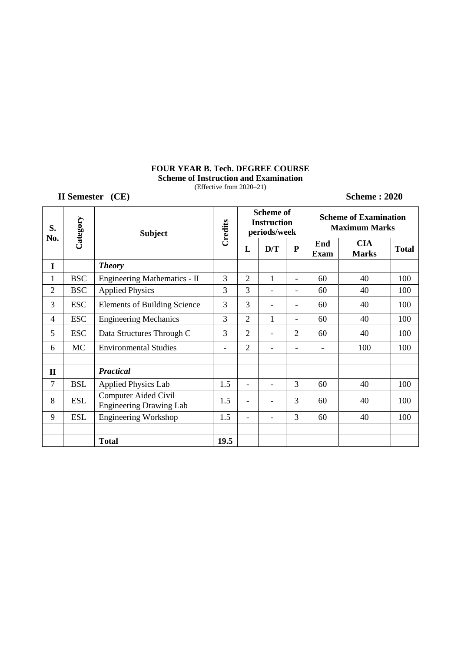# **FOUR YEAR B. Tech. DEGREE COURSE**

**Scheme of Instruction and Examination** (Effective from 2020–21)

**II Semester** (CE) Scheme : 2020

| S.<br>No.      |            | Category<br><b>Subject</b>                                    |         |                              | <b>Scheme of</b><br><b>Instruction</b><br>periods/week |                          |                          | <b>Scheme of Examination</b><br><b>Maximum Marks</b> |              |  |
|----------------|------------|---------------------------------------------------------------|---------|------------------------------|--------------------------------------------------------|--------------------------|--------------------------|------------------------------------------------------|--------------|--|
|                |            |                                                               | Credits | L                            | D/T                                                    | ${\bf P}$                | End<br><b>Exam</b>       | <b>CIA</b><br><b>Marks</b>                           | <b>Total</b> |  |
| I              |            | <b>Theory</b>                                                 |         |                              |                                                        |                          |                          |                                                      |              |  |
| 1              | <b>BSC</b> | Engineering Mathematics - II                                  | 3       | $\overline{2}$               | 1                                                      | $\blacksquare$           | 60                       | 40                                                   | 100          |  |
| $\overline{2}$ | <b>BSC</b> | <b>Applied Physics</b>                                        | 3       | 3                            | $\overline{a}$                                         | $\overline{\phantom{a}}$ | 60                       | 40                                                   | 100          |  |
| 3              | <b>ESC</b> | <b>Elements of Building Science</b>                           | 3       | 3                            | $\overline{a}$                                         | $\overline{\phantom{a}}$ | 60                       | 40                                                   | 100          |  |
| $\overline{4}$ | <b>ESC</b> | <b>Engineering Mechanics</b>                                  | 3       | $\overline{2}$               | $\mathbf{1}$                                           | $\overline{\phantom{0}}$ | 60                       | 40                                                   | 100          |  |
| 5              | <b>ESC</b> | Data Structures Through C                                     | 3       | $\overline{2}$               | $\overline{\phantom{0}}$                               | $\overline{2}$           | 60                       | 40                                                   | 100          |  |
| 6              | <b>MC</b>  | <b>Environmental Studies</b>                                  | -       | $\overline{2}$               | $\overline{a}$                                         |                          | $\overline{\phantom{a}}$ | 100                                                  | 100          |  |
|                |            |                                                               |         |                              |                                                        |                          |                          |                                                      |              |  |
| $\mathbf{I}$   |            | <b>Practical</b>                                              |         |                              |                                                        |                          |                          |                                                      |              |  |
| 7              | <b>BSL</b> | <b>Applied Physics Lab</b>                                    | 1.5     | $\overline{a}$               | $\overline{\phantom{0}}$                               | 3                        | 60                       | 40                                                   | 100          |  |
| 8              | <b>ESL</b> | <b>Computer Aided Civil</b><br><b>Engineering Drawing Lab</b> | 1.5     | $\qquad \qquad \blacksquare$ | $\overline{a}$                                         | 3                        | 60                       | 40                                                   | 100          |  |
| 9              | <b>ESL</b> | <b>Engineering Workshop</b>                                   | 1.5     | $\overline{\phantom{a}}$     | $\overline{a}$                                         | 3                        | 60                       | 40                                                   | 100          |  |
|                |            |                                                               |         |                              |                                                        |                          |                          |                                                      |              |  |
|                |            | <b>Total</b>                                                  | 19.5    |                              |                                                        |                          |                          |                                                      |              |  |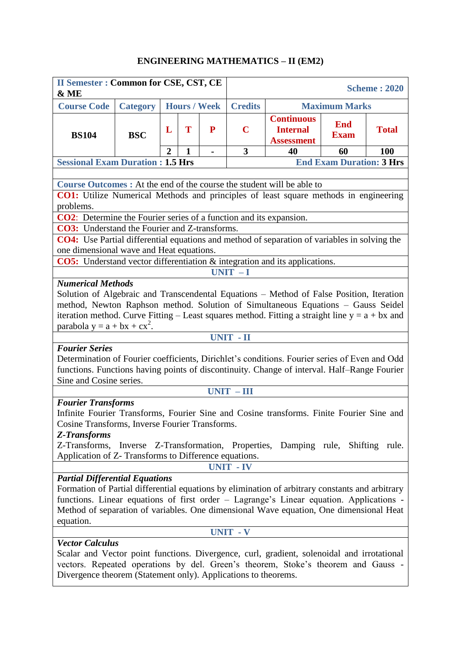### **ENGINEERING MATHEMATICS – II (EM2)**

| <b>II Semester: Common for CSE, CST, CE</b><br>& ME                                                                                                                                                                                                                                                                                         |                 |                |              |                     | <b>Scheme: 2020</b>                                                                                   |    |                      |     |  |  |  |
|---------------------------------------------------------------------------------------------------------------------------------------------------------------------------------------------------------------------------------------------------------------------------------------------------------------------------------------------|-----------------|----------------|--------------|---------------------|-------------------------------------------------------------------------------------------------------|----|----------------------|-----|--|--|--|
| <b>Course Code</b>                                                                                                                                                                                                                                                                                                                          | <b>Category</b> |                |              | <b>Hours / Week</b> | <b>Credits</b>                                                                                        |    | <b>Maximum Marks</b> |     |  |  |  |
| <b>BS104</b>                                                                                                                                                                                                                                                                                                                                | <b>BSC</b>      | L              | T            | P                   | <b>Continuous</b><br><b>End</b><br>$\mathbf C$<br><b>Internal</b><br><b>Exam</b><br><b>Assessment</b> |    | <b>Total</b>         |     |  |  |  |
|                                                                                                                                                                                                                                                                                                                                             |                 | $\overline{2}$ | $\mathbf{1}$ | $\blacksquare$      | 3                                                                                                     | 40 | 60                   | 100 |  |  |  |
| <b>Sessional Exam Duration: 1.5 Hrs</b>                                                                                                                                                                                                                                                                                                     |                 |                |              |                     | <b>End Exam Duration: 3 Hrs</b>                                                                       |    |                      |     |  |  |  |
|                                                                                                                                                                                                                                                                                                                                             |                 |                |              |                     |                                                                                                       |    |                      |     |  |  |  |
| <b>Course Outcomes:</b> At the end of the course the student will be able to                                                                                                                                                                                                                                                                |                 |                |              |                     |                                                                                                       |    |                      |     |  |  |  |
| CO1: Utilize Numerical Methods and principles of least square methods in engineering                                                                                                                                                                                                                                                        |                 |                |              |                     |                                                                                                       |    |                      |     |  |  |  |
| problems.                                                                                                                                                                                                                                                                                                                                   |                 |                |              |                     |                                                                                                       |    |                      |     |  |  |  |
| <b>CO2</b> : Determine the Fourier series of a function and its expansion.                                                                                                                                                                                                                                                                  |                 |                |              |                     |                                                                                                       |    |                      |     |  |  |  |
| <b>CO3:</b> Understand the Fourier and Z-transforms.                                                                                                                                                                                                                                                                                        |                 |                |              |                     |                                                                                                       |    |                      |     |  |  |  |
| CO4: Use Partial differential equations and method of separation of variables in solving the                                                                                                                                                                                                                                                |                 |                |              |                     |                                                                                                       |    |                      |     |  |  |  |
| one dimensional wave and Heat equations.                                                                                                                                                                                                                                                                                                    |                 |                |              |                     |                                                                                                       |    |                      |     |  |  |  |
| <b>CO5:</b> Understand vector differentiation & integration and its applications.                                                                                                                                                                                                                                                           |                 |                |              |                     |                                                                                                       |    |                      |     |  |  |  |
| $UNIT - I$<br><b>Numerical Methods</b>                                                                                                                                                                                                                                                                                                      |                 |                |              |                     |                                                                                                       |    |                      |     |  |  |  |
| Solution of Algebraic and Transcendental Equations - Method of False Position, Iteration<br>method, Newton Raphson method. Solution of Simultaneous Equations - Gauss Seidel<br>iteration method. Curve Fitting – Least squares method. Fitting a straight line $y = a + bx$ and                                                            |                 |                |              |                     |                                                                                                       |    |                      |     |  |  |  |
| parabola $y = a + bx + cx^2$ .                                                                                                                                                                                                                                                                                                              |                 |                |              |                     |                                                                                                       |    |                      |     |  |  |  |
|                                                                                                                                                                                                                                                                                                                                             |                 |                |              |                     | UNIT - II                                                                                             |    |                      |     |  |  |  |
| <b>Fourier Series</b><br>Determination of Fourier coefficients, Dirichlet's conditions. Fourier series of Even and Odd<br>functions. Functions having points of discontinuity. Change of interval. Half-Range Fourier<br>Sine and Cosine series.                                                                                            |                 |                |              |                     |                                                                                                       |    |                      |     |  |  |  |
|                                                                                                                                                                                                                                                                                                                                             |                 |                |              |                     | $UNIT - III$                                                                                          |    |                      |     |  |  |  |
| <b>Fourier Transforms</b><br>Infinite Fourier Transforms, Fourier Sine and Cosine transforms. Finite Fourier Sine and<br>Cosine Transforms, Inverse Fourier Transforms.<br><b>Z-Transforms</b><br>Z-Transforms, Inverse Z-Transformation, Properties, Damping rule, Shifting rule.<br>Application of Z- Transforms to Difference equations. |                 |                |              |                     |                                                                                                       |    |                      |     |  |  |  |
|                                                                                                                                                                                                                                                                                                                                             |                 |                |              |                     | <b>UNIT - IV</b>                                                                                      |    |                      |     |  |  |  |
| <b>Partial Differential Equations</b><br>Formation of Partial differential equations by elimination of arbitrary constants and arbitrary<br>functions. Linear equations of first order - Lagrange's Linear equation. Applications -<br>Method of separation of variables. One dimensional Wave equation, One dimensional Heat<br>equation.  |                 |                |              |                     |                                                                                                       |    |                      |     |  |  |  |
|                                                                                                                                                                                                                                                                                                                                             |                 |                |              |                     | <b>UNIT - V</b>                                                                                       |    |                      |     |  |  |  |
| <b>Vector Calculus</b><br>Scalar and Vector point functions. Divergence, curl, gradient, solenoidal and irrotational<br>vectors. Repeated operations by del. Green's theorem, Stoke's theorem and Gauss -<br>Divergence theorem (Statement only). Applications to theorems.                                                                 |                 |                |              |                     |                                                                                                       |    |                      |     |  |  |  |

ı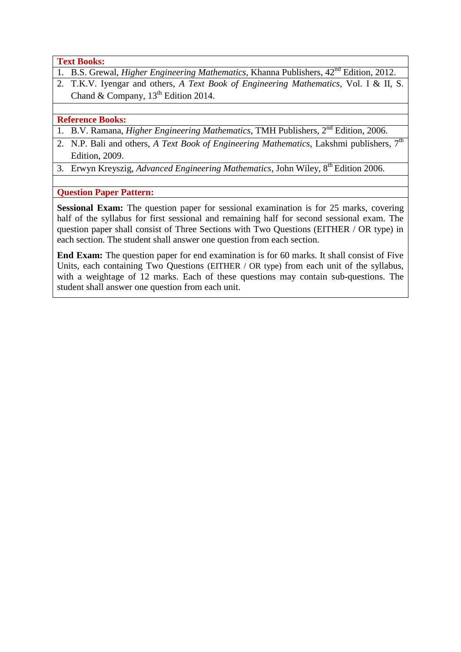**Text Books:**

- 1. B.S. Grewal, *Higher Engineering Mathematics*, Khanna Publishers, 42nd Edition, 2012.
- 2. T.K.V. Iyengar and others, *A Text Book of Engineering Mathematics*, Vol. I & II, S. Chand & Company,  $13<sup>th</sup>$  Edition 2014.

### **Reference Books:**

- 1. B.V. Ramana, *Higher Engineering Mathematics*, TMH Publishers, 2nd Edition, 2006.
- 2. N.P. Bali and others, *A Text Book of Engineering Mathematics*, Lakshmi publishers, 7<sup>th</sup> Edition, 2009.
- 3. Erwyn Kreyszig, *Advanced Engineering Mathematics*, John Wiley, 8<sup>th</sup> Edition 2006.

**Question Paper Pattern:**

**Sessional Exam:** The question paper for sessional examination is for 25 marks, covering half of the syllabus for first sessional and remaining half for second sessional exam. The question paper shall consist of Three Sections with Two Questions (EITHER / OR type) in each section. The student shall answer one question from each section.

**End Exam:** The question paper for end examination is for 60 marks. It shall consist of Five Units, each containing Two Questions (EITHER / OR type) from each unit of the syllabus, with a weightage of 12 marks. Each of these questions may contain sub-questions. The student shall answer one question from each unit.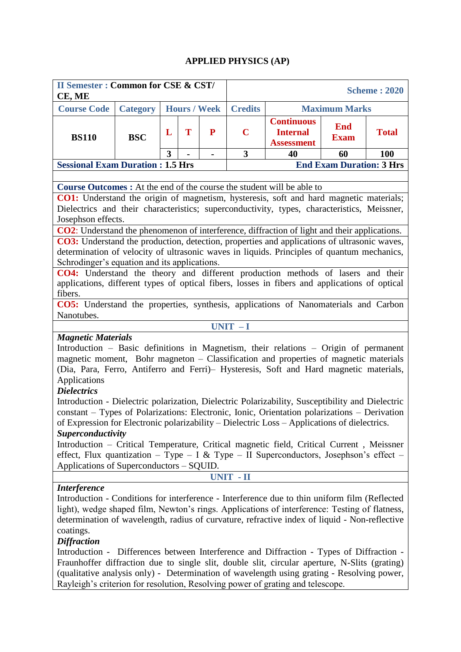### **APPLIED PHYSICS (AP)**

| <b>II Semester: Common for CSE &amp; CST/</b><br>CE, ME                                                                                                                                        |                 |   |                                 |                     |                                        |                                                                           |                           | <b>Scheme: 2020</b> |  |  |
|------------------------------------------------------------------------------------------------------------------------------------------------------------------------------------------------|-----------------|---|---------------------------------|---------------------|----------------------------------------|---------------------------------------------------------------------------|---------------------------|---------------------|--|--|
| <b>Course Code</b>                                                                                                                                                                             | <b>Category</b> |   |                                 | <b>Hours / Week</b> | <b>Credits</b><br><b>Maximum Marks</b> |                                                                           |                           |                     |  |  |
| <b>BS110</b>                                                                                                                                                                                   | <b>BSC</b>      | L | T                               | P                   | $\mathbf C$                            | <b>Continuous</b><br><b>Internal</b><br><b>Assessment</b>                 | <b>End</b><br><b>Exam</b> | <b>Total</b>        |  |  |
|                                                                                                                                                                                                |                 | 3 |                                 |                     | 3                                      | 40                                                                        | 60                        | <b>100</b>          |  |  |
| <b>Sessional Exam Duration : 1.5 Hrs</b>                                                                                                                                                       |                 |   | <b>End Exam Duration: 3 Hrs</b> |                     |                                        |                                                                           |                           |                     |  |  |
|                                                                                                                                                                                                |                 |   |                                 |                     |                                        |                                                                           |                           |                     |  |  |
| <b>Course Outcomes :</b> At the end of the course the student will be able to                                                                                                                  |                 |   |                                 |                     |                                        |                                                                           |                           |                     |  |  |
| CO1: Understand the origin of magnetism, hysteresis, soft and hard magnetic materials;<br>Dielectrics and their characteristics; superconductivity, types, characteristics, Meissner,          |                 |   |                                 |                     |                                        |                                                                           |                           |                     |  |  |
| Josephson effects.<br>CO2: Understand the phenomenon of interference, diffraction of light and their applications.                                                                             |                 |   |                                 |                     |                                        |                                                                           |                           |                     |  |  |
|                                                                                                                                                                                                |                 |   |                                 |                     |                                        |                                                                           |                           |                     |  |  |
| <b>CO3:</b> Understand the production, detection, properties and applications of ultrasonic waves,                                                                                             |                 |   |                                 |                     |                                        |                                                                           |                           |                     |  |  |
| determination of velocity of ultrasonic waves in liquids. Principles of quantum mechanics,<br>Schrodinger's equation and its applications.                                                     |                 |   |                                 |                     |                                        |                                                                           |                           |                     |  |  |
|                                                                                                                                                                                                |                 |   |                                 |                     |                                        |                                                                           |                           |                     |  |  |
| CO4: Understand the theory and different production methods of lasers and their<br>applications, different types of optical fibers, losses in fibers and applications of optical               |                 |   |                                 |                     |                                        |                                                                           |                           |                     |  |  |
| fibers.                                                                                                                                                                                        |                 |   |                                 |                     |                                        |                                                                           |                           |                     |  |  |
| CO5: Understand the properties, synthesis, applications of Nanomaterials and Carbon                                                                                                            |                 |   |                                 |                     |                                        |                                                                           |                           |                     |  |  |
| Nanotubes.                                                                                                                                                                                     |                 |   |                                 |                     |                                        |                                                                           |                           |                     |  |  |
|                                                                                                                                                                                                |                 |   |                                 |                     | $UNIT - I$                             |                                                                           |                           |                     |  |  |
| <b>Magnetic Materials</b>                                                                                                                                                                      |                 |   |                                 |                     |                                        |                                                                           |                           |                     |  |  |
| Introduction – Basic definitions in Magnetism, their relations – Origin of permanent                                                                                                           |                 |   |                                 |                     |                                        |                                                                           |                           |                     |  |  |
| magnetic moment, Bohr magneton – Classification and properties of magnetic materials                                                                                                           |                 |   |                                 |                     |                                        |                                                                           |                           |                     |  |  |
| (Dia, Para, Ferro, Antiferro and Ferri) - Hysteresis, Soft and Hard magnetic materials,<br>Applications                                                                                        |                 |   |                                 |                     |                                        |                                                                           |                           |                     |  |  |
| <b>Dielectrics</b>                                                                                                                                                                             |                 |   |                                 |                     |                                        |                                                                           |                           |                     |  |  |
| Introduction - Dielectric polarization, Dielectric Polarizability, Susceptibility and Dielectric                                                                                               |                 |   |                                 |                     |                                        |                                                                           |                           |                     |  |  |
| constant – Types of Polarizations: Electronic, Ionic, Orientation polarizations – Derivation                                                                                                   |                 |   |                                 |                     |                                        |                                                                           |                           |                     |  |  |
| of Expression for Electronic polarizability – Dielectric Loss – Applications of dielectrics.                                                                                                   |                 |   |                                 |                     |                                        |                                                                           |                           |                     |  |  |
| <b>Superconductivity</b>                                                                                                                                                                       |                 |   |                                 |                     |                                        |                                                                           |                           |                     |  |  |
| Introduction – Critical Temperature, Critical magnetic field, Critical Current, Meissner                                                                                                       |                 |   |                                 |                     |                                        |                                                                           |                           |                     |  |  |
| effect, Flux quantization – Type – I & Type – II Superconductors, Josephson's effect –                                                                                                         |                 |   |                                 |                     |                                        |                                                                           |                           |                     |  |  |
| Applications of Superconductors – SQUID.                                                                                                                                                       |                 |   |                                 |                     |                                        |                                                                           |                           |                     |  |  |
|                                                                                                                                                                                                |                 |   |                                 |                     | <b>UNIT - II</b>                       |                                                                           |                           |                     |  |  |
| <i><b>Interference</b></i>                                                                                                                                                                     |                 |   |                                 |                     |                                        |                                                                           |                           |                     |  |  |
| Introduction - Conditions for interference - Interference due to thin uniform film (Reflected<br>light), wedge shaped film, Newton's rings. Applications of interference: Testing of flatness, |                 |   |                                 |                     |                                        |                                                                           |                           |                     |  |  |
| determination of wavelength, radius of curvature, refractive index of liquid - Non-reflective                                                                                                  |                 |   |                                 |                     |                                        |                                                                           |                           |                     |  |  |
| coatings.                                                                                                                                                                                      |                 |   |                                 |                     |                                        |                                                                           |                           |                     |  |  |
| <b>Diffraction</b>                                                                                                                                                                             |                 |   |                                 |                     |                                        |                                                                           |                           |                     |  |  |
| Introduction -                                                                                                                                                                                 |                 |   |                                 |                     |                                        | Differences between Interference and Diffraction - Types of Diffraction - |                           |                     |  |  |
| Fraunhoffer diffraction due to single slit, double slit, circular aperture, N-Slits (grating)                                                                                                  |                 |   |                                 |                     |                                        |                                                                           |                           |                     |  |  |
| (qualitative analysis only) - Determination of wavelength using grating - Resolving power,                                                                                                     |                 |   |                                 |                     |                                        |                                                                           |                           |                     |  |  |
| Rayleigh's criterion for resolution, Resolving power of grating and telescope.                                                                                                                 |                 |   |                                 |                     |                                        |                                                                           |                           |                     |  |  |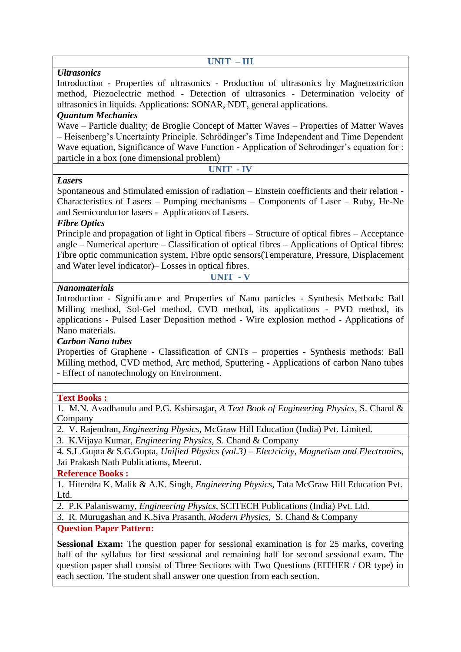| $UNIT - III$                                                                                    |
|-------------------------------------------------------------------------------------------------|
| <b>Ultrasonics</b>                                                                              |
| Introduction - Properties of ultrasonics - Production of ultrasonics by Magnetostriction        |
| method, Piezoelectric method - Detection of ultrasonics - Determination velocity of             |
| ultrasonics in liquids. Applications: SONAR, NDT, general applications.                         |
| <b>Quantum Mechanics</b>                                                                        |
| Wave – Particle duality; de Broglie Concept of Matter Waves – Properties of Matter Waves        |
| – Heisenberg's Uncertainty Principle. Schrödinger's Time Independent and Time Dependent         |
| Wave equation, Significance of Wave Function - Application of Schrodinger's equation for :      |
| particle in a box (one dimensional problem)                                                     |
| <b>UNIT - IV</b>                                                                                |
| <b>Lasers</b>                                                                                   |
| Spontaneous and Stimulated emission of radiation – Einstein coefficients and their relation -   |
| Characteristics of Lasers – Pumping mechanisms – Components of Laser – Ruby, He-Ne              |
| and Semiconductor lasers - Applications of Lasers.                                              |
| <b>Fibre Optics</b>                                                                             |
| Principle and propagation of light in Optical fibers – Structure of optical fibres – Acceptance |
| angle – Numerical aperture – Classification of optical fibres – Applications of Optical fibres: |
| Fibre optic communication system, Fibre optic sensors(Temperature, Pressure, Displacement       |
| and Water level indicator)– Losses in optical fibres.                                           |
| <b>UNIT - V</b>                                                                                 |
| <b>Nanomaterials</b>                                                                            |
| Introduction - Significance and Properties of Nano particles - Synthesis Methods: Ball          |
| Milling method, Sol-Gel method, CVD method, its applications - PVD method, its                  |
| applications - Pulsed Laser Deposition method - Wire explosion method - Applications of         |
| Nano materials.                                                                                 |
| <b>Carbon Nano tubes</b>                                                                        |
| <b>Droportias of Crapping Classification of CNTs</b> proportias Synthesis mathods: Rall         |

Properties of Graphene - Classification of CNTs – properties - Synthesis methods: Ball Milling method, CVD method, Arc method, Sputtering - Applications of carbon Nano tubes - Effect of nanotechnology on Environment.

### **Text Books :**

1. M.N. Avadhanulu and P.G. Kshirsagar, *A Text Book of Engineering Physics*, S. Chand & Company

2. V. Rajendran, *Engineering Physics*, McGraw Hill Education (India) Pvt. Limited.

3. K.Vijaya Kumar, *Engineering Physics*, S. Chand & Company

4. S.L.Gupta & S.G.Gupta, *Unified Physics (vol.3) – Electricity, Magnetism and Electronics*, Jai Prakash Nath Publications, Meerut.

**Reference Books :**

1. Hitendra K. Malik & A.K. Singh, *Engineering Physics*, Tata McGraw Hill Education Pvt. Ltd.

2. P.K Palaniswamy, *Engineering Physics*, SCITECH Publications (India) Pvt. Ltd.

3. R. Murugashan and K.Siva Prasanth, *Modern Physics*, S. Chand & Company

**Question Paper Pattern:**

**Sessional Exam:** The question paper for sessional examination is for 25 marks, covering half of the syllabus for first sessional and remaining half for second sessional exam. The question paper shall consist of Three Sections with Two Questions (EITHER / OR type) in each section. The student shall answer one question from each section.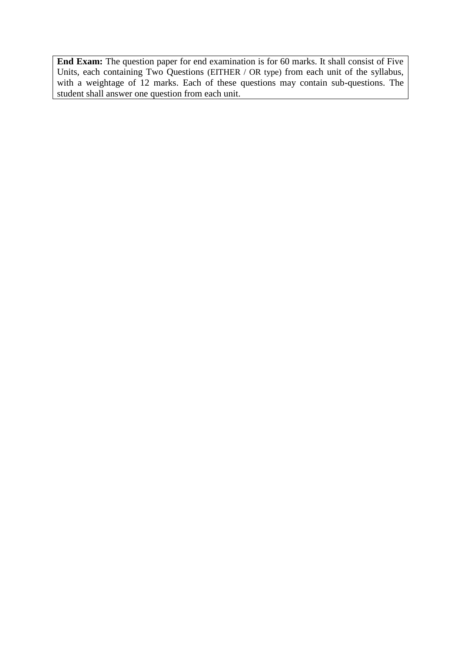**End Exam:** The question paper for end examination is for 60 marks. It shall consist of Five Units, each containing Two Questions (EITHER / OR type) from each unit of the syllabus, with a weightage of 12 marks. Each of these questions may contain sub-questions. The student shall answer one question from each unit.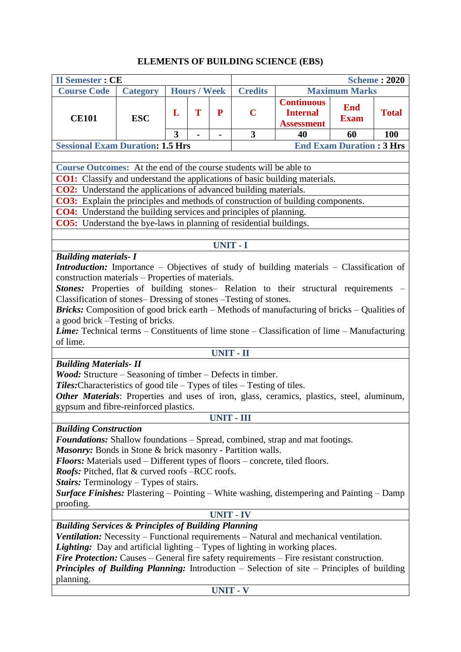## **ELEMENTS OF BUILDING SCIENCE (EBS)**

| <b>II Semester: CE</b>                                                                                         |                                                                                                  |   |                     |                  |                 | <b>Scheme: 2020</b>                                       |                                 |              |  |  |  |
|----------------------------------------------------------------------------------------------------------------|--------------------------------------------------------------------------------------------------|---|---------------------|------------------|-----------------|-----------------------------------------------------------|---------------------------------|--------------|--|--|--|
| <b>Course Code</b>                                                                                             | <b>Category</b>                                                                                  |   | <b>Hours / Week</b> |                  | <b>Credits</b>  | <b>Maximum Marks</b>                                      |                                 |              |  |  |  |
| <b>CE101</b>                                                                                                   | <b>ESC</b>                                                                                       | L | T                   | P                | $\mathbf C$     | <b>Continuous</b><br><b>Internal</b><br><b>Assessment</b> | <b>End</b><br><b>Exam</b>       | <b>Total</b> |  |  |  |
|                                                                                                                |                                                                                                  | 3 |                     | $\blacksquare$   | 3               | 40                                                        | 60                              | 100          |  |  |  |
| <b>Sessional Exam Duration: 1.5 Hrs</b>                                                                        |                                                                                                  |   |                     |                  |                 |                                                           | <b>End Exam Duration: 3 Hrs</b> |              |  |  |  |
|                                                                                                                |                                                                                                  |   |                     |                  |                 |                                                           |                                 |              |  |  |  |
|                                                                                                                | Course Outcomes: At the end of the course students will be able to                               |   |                     |                  |                 |                                                           |                                 |              |  |  |  |
| <b>CO1:</b> Classify and understand the applications of basic building materials.                              |                                                                                                  |   |                     |                  |                 |                                                           |                                 |              |  |  |  |
| <b>CO2:</b> Understand the applications of advanced building materials.                                        |                                                                                                  |   |                     |                  |                 |                                                           |                                 |              |  |  |  |
| <b>CO3:</b> Explain the principles and methods of construction of building components.                         |                                                                                                  |   |                     |                  |                 |                                                           |                                 |              |  |  |  |
| CO4: Understand the building services and principles of planning.                                              |                                                                                                  |   |                     |                  |                 |                                                           |                                 |              |  |  |  |
| <b>CO5:</b> Understand the bye-laws in planning of residential buildings.                                      |                                                                                                  |   |                     |                  |                 |                                                           |                                 |              |  |  |  |
|                                                                                                                |                                                                                                  |   |                     |                  |                 |                                                           |                                 |              |  |  |  |
|                                                                                                                |                                                                                                  |   |                     |                  | <b>UNIT - I</b> |                                                           |                                 |              |  |  |  |
| <b>Building materials- I</b>                                                                                   |                                                                                                  |   |                     |                  |                 |                                                           |                                 |              |  |  |  |
| <b>Introduction:</b> Importance – Objectives of study of building materials – Classification of                |                                                                                                  |   |                     |                  |                 |                                                           |                                 |              |  |  |  |
| construction materials – Properties of materials.                                                              |                                                                                                  |   |                     |                  |                 |                                                           |                                 |              |  |  |  |
| Stones: Properties of building stones- Relation to their structural requirements -                             |                                                                                                  |   |                     |                  |                 |                                                           |                                 |              |  |  |  |
| Classification of stones-Dressing of stones -Testing of stones.                                                |                                                                                                  |   |                     |                  |                 |                                                           |                                 |              |  |  |  |
| <b>Bricks:</b> Composition of good brick earth – Methods of manufacturing of bricks – Qualities of             |                                                                                                  |   |                     |                  |                 |                                                           |                                 |              |  |  |  |
| a good brick - Testing of bricks.                                                                              |                                                                                                  |   |                     |                  |                 |                                                           |                                 |              |  |  |  |
| <b>Lime:</b> Technical terms – Constituents of lime stone – Classification of lime – Manufacturing<br>of lime. |                                                                                                  |   |                     |                  |                 |                                                           |                                 |              |  |  |  |
|                                                                                                                |                                                                                                  |   |                     | <b>UNIT - II</b> |                 |                                                           |                                 |              |  |  |  |
| <b>Building Materials- II</b>                                                                                  |                                                                                                  |   |                     |                  |                 |                                                           |                                 |              |  |  |  |
| <i>Wood:</i> Structure – Seasoning of timber – Defects in timber.                                              |                                                                                                  |   |                     |                  |                 |                                                           |                                 |              |  |  |  |
| Tiles: Characteristics of good tile - Types of tiles - Testing of tiles.                                       |                                                                                                  |   |                     |                  |                 |                                                           |                                 |              |  |  |  |
| Other Materials: Properties and uses of iron, glass, ceramics, plastics, steel, aluminum,                      |                                                                                                  |   |                     |                  |                 |                                                           |                                 |              |  |  |  |
| gypsum and fibre-reinforced plastics.                                                                          |                                                                                                  |   |                     |                  |                 |                                                           |                                 |              |  |  |  |
|                                                                                                                |                                                                                                  |   |                     |                  | UNIT - III      |                                                           |                                 |              |  |  |  |
| <b>Building Construction</b>                                                                                   |                                                                                                  |   |                     |                  |                 |                                                           |                                 |              |  |  |  |
| <b>Foundations:</b> Shallow foundations – Spread, combined, strap and mat footings.                            |                                                                                                  |   |                     |                  |                 |                                                           |                                 |              |  |  |  |
| Masonry: Bonds in Stone & brick masonry - Partition walls.                                                     |                                                                                                  |   |                     |                  |                 |                                                           |                                 |              |  |  |  |
| <b>Floors:</b> Materials used – Different types of floors – concrete, tiled floors.                            |                                                                                                  |   |                     |                  |                 |                                                           |                                 |              |  |  |  |
| <b>Roofs:</b> Pitched, flat & curved roofs –RCC roofs.                                                         |                                                                                                  |   |                     |                  |                 |                                                           |                                 |              |  |  |  |
| <b>Stairs:</b> Terminology – Types of stairs.                                                                  |                                                                                                  |   |                     |                  |                 |                                                           |                                 |              |  |  |  |
| <b>Surface Finishes:</b> Plastering – Pointing – White washing, distempering and Painting – Damp               |                                                                                                  |   |                     |                  |                 |                                                           |                                 |              |  |  |  |
| proofing.                                                                                                      |                                                                                                  |   |                     |                  |                 |                                                           |                                 |              |  |  |  |
| <b>UNIT - IV</b>                                                                                               |                                                                                                  |   |                     |                  |                 |                                                           |                                 |              |  |  |  |
| <b>Building Services &amp; Principles of Building Planning</b>                                                 |                                                                                                  |   |                     |                  |                 |                                                           |                                 |              |  |  |  |
| Ventilation: Necessity – Functional requirements – Natural and mechanical ventilation.                         |                                                                                                  |   |                     |                  |                 |                                                           |                                 |              |  |  |  |
| <b>Lighting:</b> Day and artificial lighting $-$ Types of lighting in working places.                          |                                                                                                  |   |                     |                  |                 |                                                           |                                 |              |  |  |  |
|                                                                                                                | <b>Fire Protection:</b> Causes – General fire safety requirements – Fire resistant construction. |   |                     |                  |                 |                                                           |                                 |              |  |  |  |
| Principles of Building Planning: Introduction - Selection of site - Principles of building                     |                                                                                                  |   |                     |                  |                 |                                                           |                                 |              |  |  |  |
| planning.                                                                                                      |                                                                                                  |   |                     |                  |                 |                                                           |                                 |              |  |  |  |
|                                                                                                                | <b>UNIT - V</b>                                                                                  |   |                     |                  |                 |                                                           |                                 |              |  |  |  |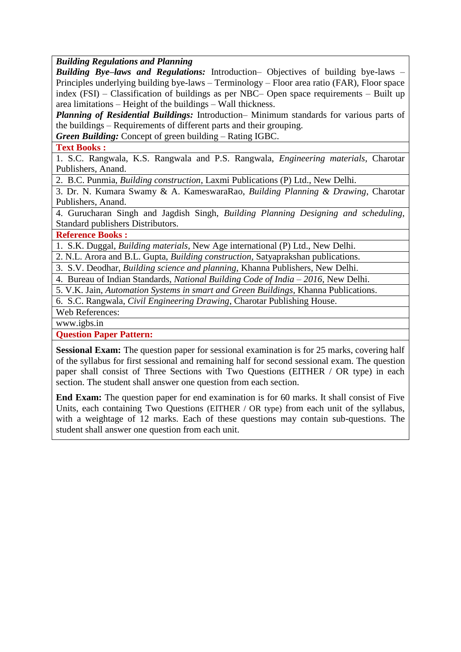*Building Regulations and Planning* 

*Building Bye–laws and Regulations:* Introduction– Objectives of building bye-laws – Principles underlying building bye-laws – Terminology – Floor area ratio (FAR), Floor space index (FSI) – Classification of buildings as per NBC– Open space requirements – Built up area limitations – Height of the buildings – Wall thickness.

*Planning of Residential Buildings:* Introduction– Minimum standards for various parts of the buildings – Requirements of different parts and their grouping.

*Green Building:* Concept of green building – Rating IGBC.

### **Text Books :**

1. S.C. Rangwala, K.S. Rangwala and P.S. Rangwala, *Engineering materials*, Charotar Publishers, Anand.

2. B.C. Punmia, *Building construction*, Laxmi Publications (P) Ltd., New Delhi.

3. Dr. N. Kumara Swamy & A. KameswaraRao, *Building Planning & Drawing*, Charotar Publishers, Anand.

4. Gurucharan Singh and Jagdish Singh, *Building Planning Designing and scheduling*, Standard publishers Distributors.

**Reference Books :**

1. 1. S.K. Duggal, *Building materials*, New Age international (P) Ltd., New Delhi.

2. 2. N.L. Arora and B.L. Gupta, *Building construction*, Satyaprakshan publications.

3. 3. S.V. Deodhar, *Building science and planning*, Khanna Publishers, New Delhi.

4. 4. Bureau of Indian Standards, *National Building Code of India – 2016*, New Delhi.

5. 5. V.K. Jain, *Automation Systems in smart and Green Buildings,* Khanna Publications.

6. 6. S.C. Rangwala, *Civil Engineering Drawing*, Charotar Publishing House.

Web References:

www.igbs.in

**Question Paper Pattern:**

**Sessional Exam:** The question paper for sessional examination is for 25 marks, covering half of the syllabus for first sessional and remaining half for second sessional exam. The question paper shall consist of Three Sections with Two Questions (EITHER / OR type) in each section. The student shall answer one question from each section.

**End Exam:** The question paper for end examination is for 60 marks. It shall consist of Five Units, each containing Two Questions (EITHER / OR type) from each unit of the syllabus, with a weightage of 12 marks. Each of these questions may contain sub-questions. The student shall answer one question from each unit.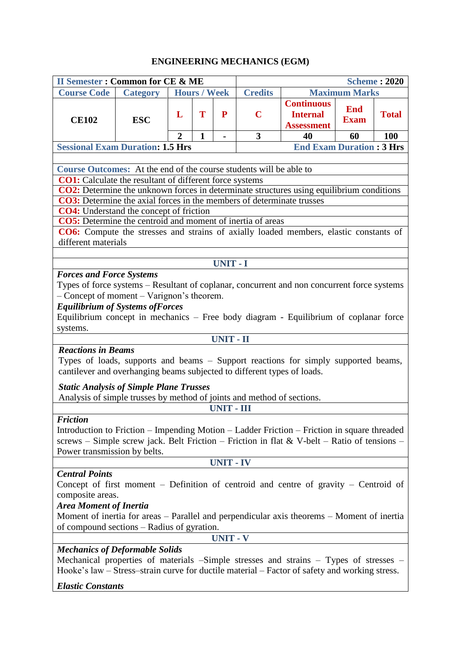## **ENGINEERING MECHANICS (EGM)**

| <b>II Semester: Common for CE &amp; ME</b><br><b>Scheme: 2020</b>                                                                                                                                                                                                |                 |                |                     |                   |                |                                                           |                           |              |
|------------------------------------------------------------------------------------------------------------------------------------------------------------------------------------------------------------------------------------------------------------------|-----------------|----------------|---------------------|-------------------|----------------|-----------------------------------------------------------|---------------------------|--------------|
| <b>Course Code</b>                                                                                                                                                                                                                                               | <b>Category</b> |                | <b>Hours / Week</b> |                   | <b>Credits</b> | <b>Maximum Marks</b>                                      |                           |              |
| <b>CE102</b>                                                                                                                                                                                                                                                     | <b>ESC</b>      | L              | T                   | P                 | $\mathbf C$    | <b>Continuous</b><br><b>Internal</b><br><b>Assessment</b> | <b>End</b><br><b>Exam</b> | <b>Total</b> |
|                                                                                                                                                                                                                                                                  |                 | $\overline{2}$ | 1                   |                   | 3              | 40                                                        | 60                        | <b>100</b>   |
| <b>Sessional Exam Duration: 1.5 Hrs</b>                                                                                                                                                                                                                          |                 |                |                     |                   |                | <b>End Exam Duration: 3 Hrs</b>                           |                           |              |
|                                                                                                                                                                                                                                                                  |                 |                |                     |                   |                |                                                           |                           |              |
| Course Outcomes: At the end of the course students will be able to                                                                                                                                                                                               |                 |                |                     |                   |                |                                                           |                           |              |
| <b>CO1:</b> Calculate the resultant of different force systems                                                                                                                                                                                                   |                 |                |                     |                   |                |                                                           |                           |              |
| CO2: Determine the unknown forces in determinate structures using equilibrium conditions                                                                                                                                                                         |                 |                |                     |                   |                |                                                           |                           |              |
| <b>CO3:</b> Determine the axial forces in the members of determinate trusses                                                                                                                                                                                     |                 |                |                     |                   |                |                                                           |                           |              |
| <b>CO4:</b> Understand the concept of friction<br><b>CO5:</b> Determine the centroid and moment of inertia of areas                                                                                                                                              |                 |                |                     |                   |                |                                                           |                           |              |
| CO6: Compute the stresses and strains of axially loaded members, elastic constants of                                                                                                                                                                            |                 |                |                     |                   |                |                                                           |                           |              |
| different materials                                                                                                                                                                                                                                              |                 |                |                     |                   |                |                                                           |                           |              |
|                                                                                                                                                                                                                                                                  |                 |                |                     |                   |                |                                                           |                           |              |
|                                                                                                                                                                                                                                                                  |                 |                |                     | <b>UNIT - I</b>   |                |                                                           |                           |              |
| <b>Forces and Force Systems</b>                                                                                                                                                                                                                                  |                 |                |                     |                   |                |                                                           |                           |              |
| Types of force systems – Resultant of coplanar, concurrent and non concurrent force systems                                                                                                                                                                      |                 |                |                     |                   |                |                                                           |                           |              |
| - Concept of moment - Varignon's theorem.                                                                                                                                                                                                                        |                 |                |                     |                   |                |                                                           |                           |              |
| <b>Equilibrium of Systems of Forces</b>                                                                                                                                                                                                                          |                 |                |                     |                   |                |                                                           |                           |              |
| Equilibrium concept in mechanics – Free body diagram - Equilibrium of coplanar force                                                                                                                                                                             |                 |                |                     |                   |                |                                                           |                           |              |
| systems.                                                                                                                                                                                                                                                         |                 |                |                     |                   |                |                                                           |                           |              |
|                                                                                                                                                                                                                                                                  |                 |                |                     | <b>UNIT - II</b>  |                |                                                           |                           |              |
| <b>Reactions in Beams</b><br>Types of loads, supports and beams - Support reactions for simply supported beams,<br>cantilever and overhanging beams subjected to different types of loads.                                                                       |                 |                |                     |                   |                |                                                           |                           |              |
| <b>Static Analysis of Simple Plane Trusses</b>                                                                                                                                                                                                                   |                 |                |                     |                   |                |                                                           |                           |              |
| Analysis of simple trusses by method of joints and method of sections.                                                                                                                                                                                           |                 |                |                     |                   |                |                                                           |                           |              |
|                                                                                                                                                                                                                                                                  |                 |                |                     | <b>UNIT - III</b> |                |                                                           |                           |              |
| <b>Friction</b><br>Introduction to Friction – Impending Motion – Ladder Friction – Friction in square threaded<br>screws - Simple screw jack. Belt Friction - Friction in flat & V-belt - Ratio of tensions -<br>Power transmission by belts.                    |                 |                |                     |                   |                |                                                           |                           |              |
| <b>UNIT - IV</b>                                                                                                                                                                                                                                                 |                 |                |                     |                   |                |                                                           |                           |              |
| <b>Central Points</b><br>Concept of first moment – Definition of centroid and centre of gravity – Centroid of<br>composite areas.<br><b>Area Moment of Inertia</b><br>Moment of inertia for areas – Parallel and perpendicular axis theorems – Moment of inertia |                 |                |                     |                   |                |                                                           |                           |              |
| of compound sections – Radius of gyration.                                                                                                                                                                                                                       |                 |                |                     |                   |                |                                                           |                           |              |
| <b>UNIT - V</b>                                                                                                                                                                                                                                                  |                 |                |                     |                   |                |                                                           |                           |              |
|                                                                                                                                                                                                                                                                  |                 |                |                     |                   |                |                                                           |                           |              |
| <b>Mechanics of Deformable Solids</b><br>Mechanical properties of materials -Simple stresses and strains - Types of stresses -<br>Hooke's law – Stress–strain curve for ductile material – Factor of safety and working stress.                                  |                 |                |                     |                   |                |                                                           |                           |              |

### *Elastic Constants*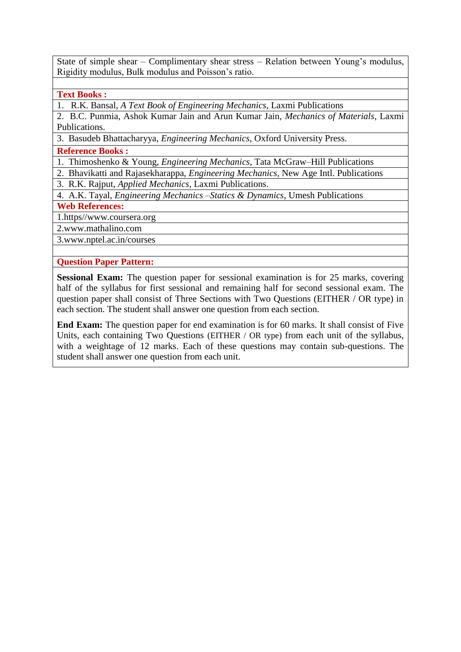State of simple shear – Complimentary shear stress – Relation between Young's modulus, Rigidity modulus, Bulk modulus and Poisson's ratio.

#### **Text Books :**

1. R.K. Bansal, *A Text Book of Engineering Mechanics*, Laxmi Publications

2. B.C. Punmia, Ashok Kumar Jain and Arun Kumar Jain, *Mechanics of Materials*, Laxmi Publications.

3. Basudeb Bhattacharyya, *Engineering Mechanics*, Oxford University Press.

#### **Reference Books :**

1. Thimoshenko & Young, *Engineering Mechanics*, Tata McGraw–Hill Publications

2. Bhavikatti and Rajasekharappa, *Engineering Mechanics*, New Age Intl. Publications

3. R.K. Rajput, *Applied Mechanics*, Laxmi Publications.

4. A.K. Tayal, *Engineering Mechanics –Statics & Dynamics*, Umesh Publications

#### **Web References:**

1.https/[/www.coursera.org](http://www.coursera.org/)

2[.www.mathalino.com](http://www.mathalino.com/)

3[.www.nptel.ac.in/courses](http://www.nptel.ac.in/courses)

### **Question Paper Pattern:**

**Sessional Exam:** The question paper for sessional examination is for 25 marks, covering half of the syllabus for first sessional and remaining half for second sessional exam. The question paper shall consist of Three Sections with Two Questions (EITHER / OR type) in each section. The student shall answer one question from each section.

**End Exam:** The question paper for end examination is for 60 marks. It shall consist of Five Units, each containing Two Questions (EITHER / OR type) from each unit of the syllabus, with a weightage of 12 marks. Each of these questions may contain sub-questions. The student shall answer one question from each unit.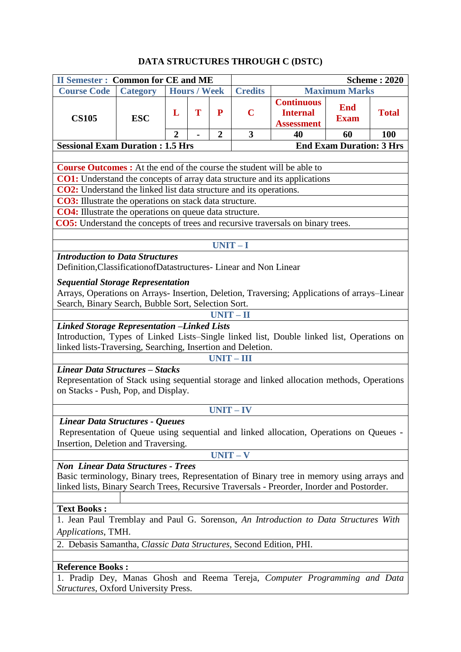## **DATA STRUCTURES THROUGH C (DSTC)**

|                                                                                                                                   | <b>II Semester: Common for CE and ME</b> |                |                     |                |                |                                                           |                           | <b>Scheme: 2020</b> |  |
|-----------------------------------------------------------------------------------------------------------------------------------|------------------------------------------|----------------|---------------------|----------------|----------------|-----------------------------------------------------------|---------------------------|---------------------|--|
| <b>Course Code</b>                                                                                                                | <b>Category</b>                          |                | <b>Hours / Week</b> |                | <b>Credits</b> | <b>Maximum Marks</b>                                      |                           |                     |  |
| <b>CS105</b>                                                                                                                      | <b>ESC</b>                               | L              | T                   | P              | $\mathbf C$    | <b>Continuous</b><br><b>Internal</b><br><b>Assessment</b> | <b>End</b><br><b>Exam</b> | <b>Total</b>        |  |
|                                                                                                                                   |                                          | $\overline{2}$ |                     | $\overline{2}$ | 3              | 40                                                        | 60                        | 100                 |  |
| <b>End Exam Duration: 3 Hrs</b><br><b>Sessional Exam Duration : 1.5 Hrs</b>                                                       |                                          |                |                     |                |                |                                                           |                           |                     |  |
|                                                                                                                                   |                                          |                |                     |                |                |                                                           |                           |                     |  |
| <b>Course Outcomes :</b> At the end of the course the student will be able to                                                     |                                          |                |                     |                |                |                                                           |                           |                     |  |
| <b>CO1:</b> Understand the concepts of array data structure and its applications                                                  |                                          |                |                     |                |                |                                                           |                           |                     |  |
| <b>CO2:</b> Understand the linked list data structure and its operations.                                                         |                                          |                |                     |                |                |                                                           |                           |                     |  |
| <b>CO3:</b> Illustrate the operations on stack data structure.                                                                    |                                          |                |                     |                |                |                                                           |                           |                     |  |
| <b>CO4:</b> Illustrate the operations on queue data structure.                                                                    |                                          |                |                     |                |                |                                                           |                           |                     |  |
| <b>CO5:</b> Understand the concepts of trees and recursive traversals on binary trees.                                            |                                          |                |                     |                |                |                                                           |                           |                     |  |
|                                                                                                                                   |                                          |                |                     |                |                |                                                           |                           |                     |  |
|                                                                                                                                   |                                          |                |                     |                | $UNIT-I$       |                                                           |                           |                     |  |
| <b>Introduction to Data Structures</b><br>Definition, Classification of Datastructures - Linear and Non Linear                    |                                          |                |                     |                |                |                                                           |                           |                     |  |
| <b>Sequential Storage Representation</b>                                                                                          |                                          |                |                     |                |                |                                                           |                           |                     |  |
| Arrays, Operations on Arrays- Insertion, Deletion, Traversing; Applications of arrays-Linear                                      |                                          |                |                     |                |                |                                                           |                           |                     |  |
| Search, Binary Search, Bubble Sort, Selection Sort.                                                                               |                                          |                |                     |                |                |                                                           |                           |                     |  |
|                                                                                                                                   |                                          |                |                     |                | $UNIT - II$    |                                                           |                           |                     |  |
| <b>Linked Storage Representation -Linked Lists</b>                                                                                |                                          |                |                     |                |                |                                                           |                           |                     |  |
| Introduction, Types of Linked Lists–Single linked list, Double linked list, Operations on                                         |                                          |                |                     |                |                |                                                           |                           |                     |  |
| linked lists-Traversing, Searching, Insertion and Deletion.                                                                       |                                          |                |                     |                |                |                                                           |                           |                     |  |
|                                                                                                                                   |                                          |                |                     |                | $UNIT - III$   |                                                           |                           |                     |  |
| Linear Data Structures - Stacks                                                                                                   |                                          |                |                     |                |                |                                                           |                           |                     |  |
| Representation of Stack using sequential storage and linked allocation methods, Operations<br>on Stacks - Push, Pop, and Display. |                                          |                |                     |                |                |                                                           |                           |                     |  |
|                                                                                                                                   | $UNIT - IV$                              |                |                     |                |                |                                                           |                           |                     |  |
| Linear Data Structures - Queues                                                                                                   |                                          |                |                     |                |                |                                                           |                           |                     |  |
|                                                                                                                                   |                                          |                |                     |                |                |                                                           |                           |                     |  |
| Representation of Queue using sequential and linked allocation, Operations on Queues -<br>Insertion, Deletion and Traversing.     |                                          |                |                     |                |                |                                                           |                           |                     |  |
| $UNIT - V$                                                                                                                        |                                          |                |                     |                |                |                                                           |                           |                     |  |
| <b>Non Linear Data Structures - Trees</b>                                                                                         |                                          |                |                     |                |                |                                                           |                           |                     |  |
| Basic terminology, Binary trees, Representation of Binary tree in memory using arrays and                                         |                                          |                |                     |                |                |                                                           |                           |                     |  |
| linked lists, Binary Search Trees, Recursive Traversals - Preorder, Inorder and Postorder.                                        |                                          |                |                     |                |                |                                                           |                           |                     |  |
|                                                                                                                                   |                                          |                |                     |                |                |                                                           |                           |                     |  |
| <b>Text Books:</b>                                                                                                                |                                          |                |                     |                |                |                                                           |                           |                     |  |
| 1. Jean Paul Tremblay and Paul G. Sorenson, An Introduction to Data Structures With                                               |                                          |                |                     |                |                |                                                           |                           |                     |  |
| Applications, TMH.                                                                                                                |                                          |                |                     |                |                |                                                           |                           |                     |  |
| 2. Debasis Samantha, Classic Data Structures, Second Edition, PHI.                                                                |                                          |                |                     |                |                |                                                           |                           |                     |  |
|                                                                                                                                   |                                          |                |                     |                |                |                                                           |                           |                     |  |
| <b>Reference Books:</b>                                                                                                           |                                          |                |                     |                |                |                                                           |                           |                     |  |
| 1. Pradip Dey, Manas Ghosh and Reema Tereja, Computer Programming and Data                                                        |                                          |                |                     |                |                |                                                           |                           |                     |  |
| Structures, Oxford University Press.                                                                                              |                                          |                |                     |                |                |                                                           |                           |                     |  |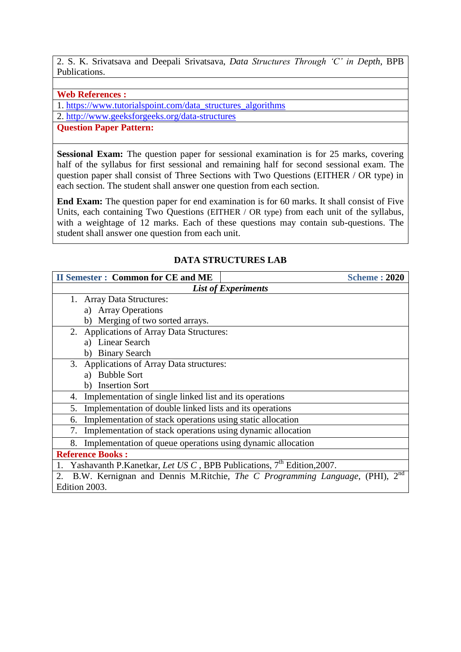2. S. K. Srivatsava and Deepali Srivatsava, *Data Structures Through 'C' in Depth*, BPB Publications.

**Web References :**

1. [https://www.tutorialspoint.com/data\\_structures\\_algorithms](https://www.tutorialspoint.com/data_structures_algorithms)

2.<http://www.geeksforgeeks.org/data-structures>

### **Question Paper Pattern:**

**Sessional Exam:** The question paper for sessional examination is for 25 marks, covering half of the syllabus for first sessional and remaining half for second sessional exam. The question paper shall consist of Three Sections with Two Questions (EITHER / OR type) in each section. The student shall answer one question from each section.

**End Exam:** The question paper for end examination is for 60 marks. It shall consist of Five Units, each containing Two Questions (EITHER / OR type) from each unit of the syllabus, with a weightage of 12 marks. Each of these questions may contain sub-questions. The student shall answer one question from each unit.

### **DATA STRUCTURES LAB**

| <b>II Semester: Common for CE and ME</b>                                | <b>Scheme: 2020</b>                                                                         |  |  |  |  |  |  |
|-------------------------------------------------------------------------|---------------------------------------------------------------------------------------------|--|--|--|--|--|--|
| <b>List of Experiments</b>                                              |                                                                                             |  |  |  |  |  |  |
| 1. Array Data Structures:                                               |                                                                                             |  |  |  |  |  |  |
| a) Array Operations                                                     |                                                                                             |  |  |  |  |  |  |
| b) Merging of two sorted arrays.                                        |                                                                                             |  |  |  |  |  |  |
| 2. Applications of Array Data Structures:                               |                                                                                             |  |  |  |  |  |  |
| <b>Linear Search</b><br>a)                                              |                                                                                             |  |  |  |  |  |  |
| <b>Binary Search</b><br>b)                                              |                                                                                             |  |  |  |  |  |  |
| 3. Applications of Array Data structures:                               |                                                                                             |  |  |  |  |  |  |
| <b>Bubble Sort</b><br>a)                                                |                                                                                             |  |  |  |  |  |  |
| b) Insertion Sort                                                       |                                                                                             |  |  |  |  |  |  |
| Implementation of single linked list and its operations<br>4.           |                                                                                             |  |  |  |  |  |  |
| Implementation of double linked lists and its operations<br>5.          |                                                                                             |  |  |  |  |  |  |
| Implementation of stack operations using static allocation<br>6.        |                                                                                             |  |  |  |  |  |  |
| Implementation of stack operations using dynamic allocation<br>7.       |                                                                                             |  |  |  |  |  |  |
| Implementation of queue operations using dynamic allocation<br>8.       |                                                                                             |  |  |  |  |  |  |
| <b>Reference Books:</b>                                                 |                                                                                             |  |  |  |  |  |  |
| Yashavanth P.Kanetkar, Let US C, BPB Publications, $7th$ Edition, 2007. |                                                                                             |  |  |  |  |  |  |
| Edition 2003.                                                           | $2^{nd}$<br>B.W. Kernignan and Dennis M.Ritchie, <i>The C Programming Language</i> , (PHI), |  |  |  |  |  |  |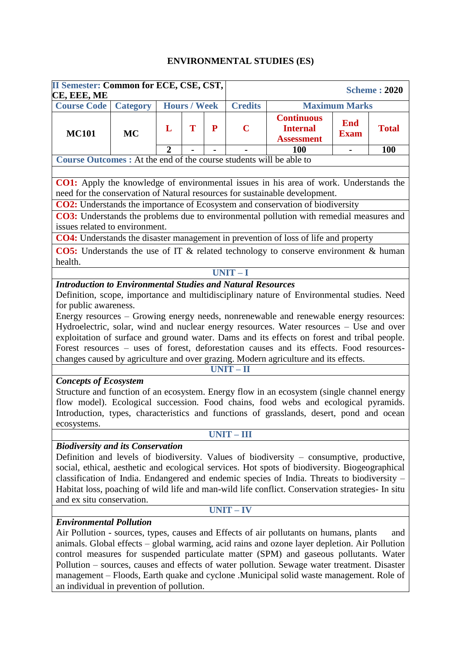### **ENVIRONMENTAL STUDIES (ES)**

| <b>II Semester: Common for ECE, CSE, CST,</b><br>CE, EEE, ME                                                                                                                                                                                                                                                                                                                                                                                                                                                                                                                                                                                                                                                                                                                                              |                 |                |                     |           |                 |                                                                                                                                                                                                                                                                                                                                                                                                                                                                             | <b>Scheme: 2020</b>       |              |  |
|-----------------------------------------------------------------------------------------------------------------------------------------------------------------------------------------------------------------------------------------------------------------------------------------------------------------------------------------------------------------------------------------------------------------------------------------------------------------------------------------------------------------------------------------------------------------------------------------------------------------------------------------------------------------------------------------------------------------------------------------------------------------------------------------------------------|-----------------|----------------|---------------------|-----------|-----------------|-----------------------------------------------------------------------------------------------------------------------------------------------------------------------------------------------------------------------------------------------------------------------------------------------------------------------------------------------------------------------------------------------------------------------------------------------------------------------------|---------------------------|--------------|--|
| <b>Course Code</b>                                                                                                                                                                                                                                                                                                                                                                                                                                                                                                                                                                                                                                                                                                                                                                                        | <b>Category</b> |                | <b>Hours / Week</b> |           | <b>Credits</b>  | <b>Maximum Marks</b>                                                                                                                                                                                                                                                                                                                                                                                                                                                        |                           |              |  |
| <b>MC101</b>                                                                                                                                                                                                                                                                                                                                                                                                                                                                                                                                                                                                                                                                                                                                                                                              | <b>MC</b>       | L              | T                   | ${\bf P}$ | $\overline{C}$  | <b>Continuous</b><br><b>Internal</b><br><b>Assessment</b>                                                                                                                                                                                                                                                                                                                                                                                                                   | <b>End</b><br><b>Exam</b> | <b>Total</b> |  |
|                                                                                                                                                                                                                                                                                                                                                                                                                                                                                                                                                                                                                                                                                                                                                                                                           |                 | $\overline{2}$ |                     |           |                 | 100                                                                                                                                                                                                                                                                                                                                                                                                                                                                         |                           | 100          |  |
| Course Outcomes : At the end of the course students will be able to                                                                                                                                                                                                                                                                                                                                                                                                                                                                                                                                                                                                                                                                                                                                       |                 |                |                     |           |                 |                                                                                                                                                                                                                                                                                                                                                                                                                                                                             |                           |              |  |
| <b>CO1:</b> Apply the knowledge of environmental issues in his area of work. Understands the<br>need for the conservation of Natural resources for sustainable development.                                                                                                                                                                                                                                                                                                                                                                                                                                                                                                                                                                                                                               |                 |                |                     |           |                 |                                                                                                                                                                                                                                                                                                                                                                                                                                                                             |                           |              |  |
|                                                                                                                                                                                                                                                                                                                                                                                                                                                                                                                                                                                                                                                                                                                                                                                                           |                 |                |                     |           |                 | <b>CO2:</b> Understands the importance of Ecosystem and conservation of biodiversity                                                                                                                                                                                                                                                                                                                                                                                        |                           |              |  |
| issues related to environment.                                                                                                                                                                                                                                                                                                                                                                                                                                                                                                                                                                                                                                                                                                                                                                            |                 |                |                     |           |                 | <b>CO3:</b> Understands the problems due to environmental pollution with remedial measures and                                                                                                                                                                                                                                                                                                                                                                              |                           |              |  |
|                                                                                                                                                                                                                                                                                                                                                                                                                                                                                                                                                                                                                                                                                                                                                                                                           |                 |                |                     |           |                 | CO4: Understands the disaster management in prevention of loss of life and property                                                                                                                                                                                                                                                                                                                                                                                         |                           |              |  |
| health.                                                                                                                                                                                                                                                                                                                                                                                                                                                                                                                                                                                                                                                                                                                                                                                                   |                 |                |                     |           |                 | <b>CO5:</b> Understands the use of IT $\&$ related technology to conserve environment $\&$ human                                                                                                                                                                                                                                                                                                                                                                            |                           |              |  |
|                                                                                                                                                                                                                                                                                                                                                                                                                                                                                                                                                                                                                                                                                                                                                                                                           |                 |                |                     |           | UNIT-I          |                                                                                                                                                                                                                                                                                                                                                                                                                                                                             |                           |              |  |
| <b>Introduction to Environmental Studies and Natural Resources</b><br>Definition, scope, importance and multidisciplinary nature of Environmental studies. Need<br>for public awareness.<br>Energy resources - Growing energy needs, nonrenewable and renewable energy resources:<br>Hydroelectric, solar, wind and nuclear energy resources. Water resources - Use and over<br>exploitation of surface and ground water. Dams and its effects on forest and tribal people.<br>Forest resources – uses of forest, deforestation causes and its effects. Food resources-<br>changes caused by agriculture and over grazing. Modern agriculture and its effects.<br>$UNIT-II$<br><b>Concepts of Ecosystem</b><br>Structure and function of an ecosystem. Energy flow in an ecosystem (single channel energy |                 |                |                     |           |                 |                                                                                                                                                                                                                                                                                                                                                                                                                                                                             |                           |              |  |
| flow model). Ecological succession. Food chains, food webs and ecological pyramids.<br>Introduction, types, characteristics and functions of grasslands, desert, pond and ocean<br>ecosystems.                                                                                                                                                                                                                                                                                                                                                                                                                                                                                                                                                                                                            |                 |                |                     |           |                 |                                                                                                                                                                                                                                                                                                                                                                                                                                                                             |                           |              |  |
|                                                                                                                                                                                                                                                                                                                                                                                                                                                                                                                                                                                                                                                                                                                                                                                                           |                 |                |                     |           | <b>UNIT-III</b> |                                                                                                                                                                                                                                                                                                                                                                                                                                                                             |                           |              |  |
| <b>Biodiversity and its Conservation</b><br>Definition and levels of biodiversity. Values of biodiversity – consumptive, productive,<br>social, ethical, aesthetic and ecological services. Hot spots of biodiversity. Biogeographical<br>classification of India. Endangered and endemic species of India. Threats to biodiversity -<br>Habitat loss, poaching of wild life and man-wild life conflict. Conservation strategies- In situ<br>and ex situ conservation.                                                                                                                                                                                                                                                                                                                                    |                 |                |                     |           |                 |                                                                                                                                                                                                                                                                                                                                                                                                                                                                             |                           |              |  |
| $UNIT - IV$                                                                                                                                                                                                                                                                                                                                                                                                                                                                                                                                                                                                                                                                                                                                                                                               |                 |                |                     |           |                 |                                                                                                                                                                                                                                                                                                                                                                                                                                                                             |                           |              |  |
| <b>Environmental Pollution</b>                                                                                                                                                                                                                                                                                                                                                                                                                                                                                                                                                                                                                                                                                                                                                                            |                 |                |                     |           |                 | Air Pollution - sources, types, causes and Effects of air pollutants on humans, plants<br>animals. Global effects – global warming, acid rains and ozone layer depletion. Air Pollution<br>control measures for suspended particulate matter (SPM) and gaseous pollutants. Water<br>Pollution – sources, causes and effects of water pollution. Sewage water treatment. Disaster<br>management - Floods, Earth quake and cyclone .Municipal solid waste management. Role of |                           | and          |  |

an individual in prevention of pollution.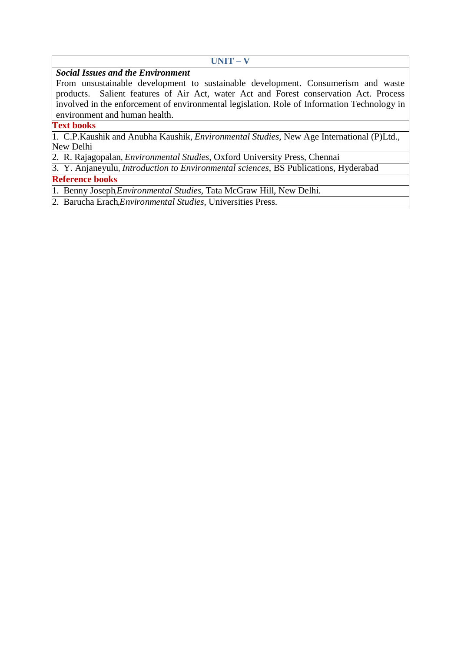#### **UNIT – V**

### *Social Issues and the Environment*

From unsustainable development to sustainable development. Consumerism and waste products. Salient features of Air Act, water Act and Forest conservation Act. Process involved in the enforcement of environmental legislation. Role of Information Technology in environment and human health.

### **Text books**

1. C.P.Kaushik and Anubha Kaushik, *Environmental Studies*, New Age International (P)Ltd., New Delhi

2. R. Rajagopalan, *Environmental Studies*, Oxford University Press, Chennai

3. Y. Anjaneyulu, *Introduction to Environmental sciences*, BS Publications, Hyderabad

### **Reference books**

1. Benny Joseph*, Environmental Studies*, Tata McGraw Hill, New Delhi.

2. Barucha Erach, *Environmental Studies*, Universities Press.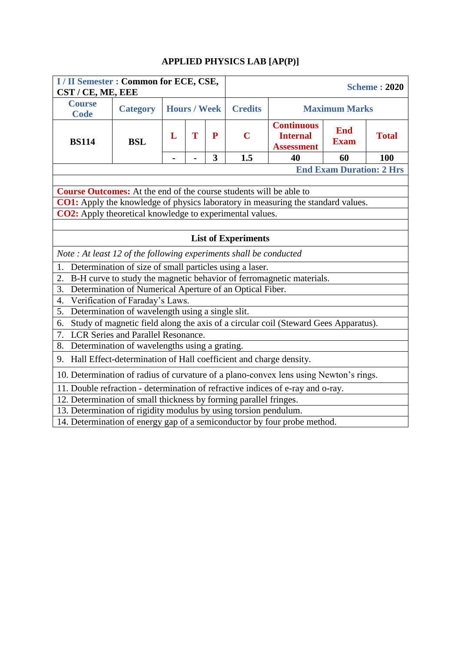# **APPLIED PHYSICS LAB [AP(P)]**

| I / II Semester : Common for ECE, CSE,<br>CST / CE, ME, EEE               |                                                                   |   |                     |              | <b>Scheme: 2020</b>        |                                                                                       |                           |              |  |  |
|---------------------------------------------------------------------------|-------------------------------------------------------------------|---|---------------------|--------------|----------------------------|---------------------------------------------------------------------------------------|---------------------------|--------------|--|--|
| <b>Course</b><br><b>Code</b>                                              | <b>Category</b>                                                   |   | <b>Hours / Week</b> |              | <b>Credits</b>             |                                                                                       | <b>Maximum Marks</b>      |              |  |  |
| <b>BS114</b>                                                              | <b>BSL</b>                                                        | L | T                   | $\mathbf{P}$ | $\mathbf C$                | <b>Continuous</b><br><b>Internal</b><br><b>Assessment</b>                             | <b>End</b><br><b>Exam</b> | <b>Total</b> |  |  |
|                                                                           |                                                                   |   |                     | 3            | 1.5                        | 40                                                                                    | 60                        | 100          |  |  |
| <b>End Exam Duration: 2 Hrs</b>                                           |                                                                   |   |                     |              |                            |                                                                                       |                           |              |  |  |
|                                                                           |                                                                   |   |                     |              |                            |                                                                                       |                           |              |  |  |
| <b>Course Outcomes:</b> At the end of the course students will be able to |                                                                   |   |                     |              |                            |                                                                                       |                           |              |  |  |
|                                                                           |                                                                   |   |                     |              |                            | CO1: Apply the knowledge of physics laboratory in measuring the standard values.      |                           |              |  |  |
| CO2: Apply theoretical knowledge to experimental values.                  |                                                                   |   |                     |              |                            |                                                                                       |                           |              |  |  |
|                                                                           |                                                                   |   |                     |              |                            |                                                                                       |                           |              |  |  |
|                                                                           |                                                                   |   |                     |              | <b>List of Experiments</b> |                                                                                       |                           |              |  |  |
| Note: At least 12 of the following experiments shall be conducted         |                                                                   |   |                     |              |                            |                                                                                       |                           |              |  |  |
| 1.                                                                        | Determination of size of small particles using a laser.           |   |                     |              |                            |                                                                                       |                           |              |  |  |
| 2.                                                                        |                                                                   |   |                     |              |                            | B-H curve to study the magnetic behavior of ferromagnetic materials.                  |                           |              |  |  |
| 3.                                                                        | Determination of Numerical Aperture of an Optical Fiber.          |   |                     |              |                            |                                                                                       |                           |              |  |  |
| $\overline{4}$ .                                                          | Verification of Faraday's Laws.                                   |   |                     |              |                            |                                                                                       |                           |              |  |  |
| 5.                                                                        | Determination of wavelength using a single slit.                  |   |                     |              |                            |                                                                                       |                           |              |  |  |
| 6.                                                                        |                                                                   |   |                     |              |                            | Study of magnetic field along the axis of a circular coil (Steward Gees Apparatus).   |                           |              |  |  |
| 7.                                                                        | <b>LCR Series and Parallel Resonance.</b>                         |   |                     |              |                            |                                                                                       |                           |              |  |  |
| 8.                                                                        | Determination of wavelengths using a grating.                     |   |                     |              |                            |                                                                                       |                           |              |  |  |
| 9.                                                                        | Hall Effect-determination of Hall coefficient and charge density. |   |                     |              |                            |                                                                                       |                           |              |  |  |
|                                                                           |                                                                   |   |                     |              |                            | 10. Determination of radius of curvature of a plano-convex lens using Newton's rings. |                           |              |  |  |
|                                                                           |                                                                   |   |                     |              |                            | 11. Double refraction - determination of refractive indices of e-ray and o-ray.       |                           |              |  |  |
| 12. Determination of small thickness by forming parallel fringes.         |                                                                   |   |                     |              |                            |                                                                                       |                           |              |  |  |
| 13. Determination of rigidity modulus by using torsion pendulum.          |                                                                   |   |                     |              |                            |                                                                                       |                           |              |  |  |
| 14. Determination of energy gap of a semiconductor by four probe method.  |                                                                   |   |                     |              |                            |                                                                                       |                           |              |  |  |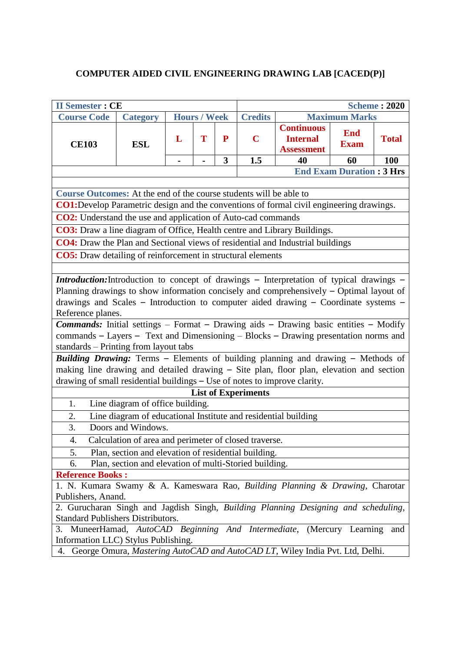# **COMPUTER AIDED CIVIL ENGINEERING DRAWING LAB [CACED(P)]**

| <b>II Semester: CE</b><br><b>Scheme: 2020</b>                                                                                                                                                                                                                                                                                                                                                                                                                                                                                                                                                                                                                                                                                                                                                     |                                                                |                |                     |              |                            |                                                           |                           |              |  |  |  |
|---------------------------------------------------------------------------------------------------------------------------------------------------------------------------------------------------------------------------------------------------------------------------------------------------------------------------------------------------------------------------------------------------------------------------------------------------------------------------------------------------------------------------------------------------------------------------------------------------------------------------------------------------------------------------------------------------------------------------------------------------------------------------------------------------|----------------------------------------------------------------|----------------|---------------------|--------------|----------------------------|-----------------------------------------------------------|---------------------------|--------------|--|--|--|
| <b>Course Code</b>                                                                                                                                                                                                                                                                                                                                                                                                                                                                                                                                                                                                                                                                                                                                                                                | <b>Category</b>                                                |                | <b>Hours / Week</b> |              | <b>Credits</b>             | <b>Maximum Marks</b>                                      |                           |              |  |  |  |
| <b>CE103</b>                                                                                                                                                                                                                                                                                                                                                                                                                                                                                                                                                                                                                                                                                                                                                                                      | <b>ESL</b>                                                     | L              | T                   | ${\bf P}$    | $\mathbf C$                | <b>Continuous</b><br><b>Internal</b><br><b>Assessment</b> | <b>End</b><br><b>Exam</b> | <b>Total</b> |  |  |  |
|                                                                                                                                                                                                                                                                                                                                                                                                                                                                                                                                                                                                                                                                                                                                                                                                   |                                                                | $\blacksquare$ | -                   | $\mathbf{3}$ | 1.5                        | 40                                                        | 60                        | <b>100</b>   |  |  |  |
|                                                                                                                                                                                                                                                                                                                                                                                                                                                                                                                                                                                                                                                                                                                                                                                                   | <b>End Exam Duration: 3 Hrs</b>                                |                |                     |              |                            |                                                           |                           |              |  |  |  |
|                                                                                                                                                                                                                                                                                                                                                                                                                                                                                                                                                                                                                                                                                                                                                                                                   |                                                                |                |                     |              |                            |                                                           |                           |              |  |  |  |
| Course Outcomes: At the end of the course students will be able to                                                                                                                                                                                                                                                                                                                                                                                                                                                                                                                                                                                                                                                                                                                                |                                                                |                |                     |              |                            |                                                           |                           |              |  |  |  |
| CO1: Develop Parametric design and the conventions of formal civil engineering drawings.                                                                                                                                                                                                                                                                                                                                                                                                                                                                                                                                                                                                                                                                                                          |                                                                |                |                     |              |                            |                                                           |                           |              |  |  |  |
| CO2: Understand the use and application of Auto-cad commands                                                                                                                                                                                                                                                                                                                                                                                                                                                                                                                                                                                                                                                                                                                                      |                                                                |                |                     |              |                            |                                                           |                           |              |  |  |  |
| CO3: Draw a line diagram of Office, Health centre and Library Buildings.                                                                                                                                                                                                                                                                                                                                                                                                                                                                                                                                                                                                                                                                                                                          |                                                                |                |                     |              |                            |                                                           |                           |              |  |  |  |
| CO4: Draw the Plan and Sectional views of residential and Industrial buildings                                                                                                                                                                                                                                                                                                                                                                                                                                                                                                                                                                                                                                                                                                                    |                                                                |                |                     |              |                            |                                                           |                           |              |  |  |  |
| <b>CO5:</b> Draw detailing of reinforcement in structural elements                                                                                                                                                                                                                                                                                                                                                                                                                                                                                                                                                                                                                                                                                                                                |                                                                |                |                     |              |                            |                                                           |                           |              |  |  |  |
|                                                                                                                                                                                                                                                                                                                                                                                                                                                                                                                                                                                                                                                                                                                                                                                                   |                                                                |                |                     |              |                            |                                                           |                           |              |  |  |  |
| <b>Introduction:</b> Introduction to concept of drawings - Interpretation of typical drawings -<br>Planning drawings to show information concisely and comprehensively - Optimal layout of<br>drawings and Scales - Introduction to computer aided drawing - Coordinate systems -<br>Reference planes.<br><b>Commands:</b> Initial settings - Format - Drawing aids - Drawing basic entities - Modify<br>commands - Layers - Text and Dimensioning - Blocks - Drawing presentation norms and<br>standards - Printing from layout tabs<br>Building Drawing: Terms - Elements of building planning and drawing - Methods of<br>making line drawing and detailed drawing - Site plan, floor plan, elevation and section<br>drawing of small residential buildings - Use of notes to improve clarity. |                                                                |                |                     |              |                            |                                                           |                           |              |  |  |  |
|                                                                                                                                                                                                                                                                                                                                                                                                                                                                                                                                                                                                                                                                                                                                                                                                   |                                                                |                |                     |              | <b>List of Experiments</b> |                                                           |                           |              |  |  |  |
| 1.                                                                                                                                                                                                                                                                                                                                                                                                                                                                                                                                                                                                                                                                                                                                                                                                | Line diagram of office building.                               |                |                     |              |                            |                                                           |                           |              |  |  |  |
| 2.                                                                                                                                                                                                                                                                                                                                                                                                                                                                                                                                                                                                                                                                                                                                                                                                | Line diagram of educational Institute and residential building |                |                     |              |                            |                                                           |                           |              |  |  |  |
| 3.                                                                                                                                                                                                                                                                                                                                                                                                                                                                                                                                                                                                                                                                                                                                                                                                | Doors and Windows.                                             |                |                     |              |                            |                                                           |                           |              |  |  |  |
| $\overline{4}$                                                                                                                                                                                                                                                                                                                                                                                                                                                                                                                                                                                                                                                                                                                                                                                    | Calculation of area and perimeter of closed traverse           |                |                     |              |                            |                                                           |                           |              |  |  |  |
| Plan, section and elevation of residential building.<br>5.                                                                                                                                                                                                                                                                                                                                                                                                                                                                                                                                                                                                                                                                                                                                        |                                                                |                |                     |              |                            |                                                           |                           |              |  |  |  |
| Plan, section and elevation of multi-Storied building.<br>6.                                                                                                                                                                                                                                                                                                                                                                                                                                                                                                                                                                                                                                                                                                                                      |                                                                |                |                     |              |                            |                                                           |                           |              |  |  |  |
| <b>Reference Books:</b>                                                                                                                                                                                                                                                                                                                                                                                                                                                                                                                                                                                                                                                                                                                                                                           |                                                                |                |                     |              |                            |                                                           |                           |              |  |  |  |
| 1. N. Kumara Swamy & A. Kameswara Rao, Building Planning & Drawing, Charotar                                                                                                                                                                                                                                                                                                                                                                                                                                                                                                                                                                                                                                                                                                                      |                                                                |                |                     |              |                            |                                                           |                           |              |  |  |  |
| Publishers, Anand.<br>2. Gurucharan Singh and Jagdish Singh, Building Planning Designing and scheduling,<br><b>Standard Publishers Distributors.</b>                                                                                                                                                                                                                                                                                                                                                                                                                                                                                                                                                                                                                                              |                                                                |                |                     |              |                            |                                                           |                           |              |  |  |  |
| 3. MuneerHamad, AutoCAD Beginning And Intermediate, (Mercury Learning and<br>Information LLC) Stylus Publishing.                                                                                                                                                                                                                                                                                                                                                                                                                                                                                                                                                                                                                                                                                  |                                                                |                |                     |              |                            |                                                           |                           |              |  |  |  |
| 4. George Omura, Mastering AutoCAD and AutoCAD LT, Wiley India Pvt. Ltd, Delhi.                                                                                                                                                                                                                                                                                                                                                                                                                                                                                                                                                                                                                                                                                                                   |                                                                |                |                     |              |                            |                                                           |                           |              |  |  |  |